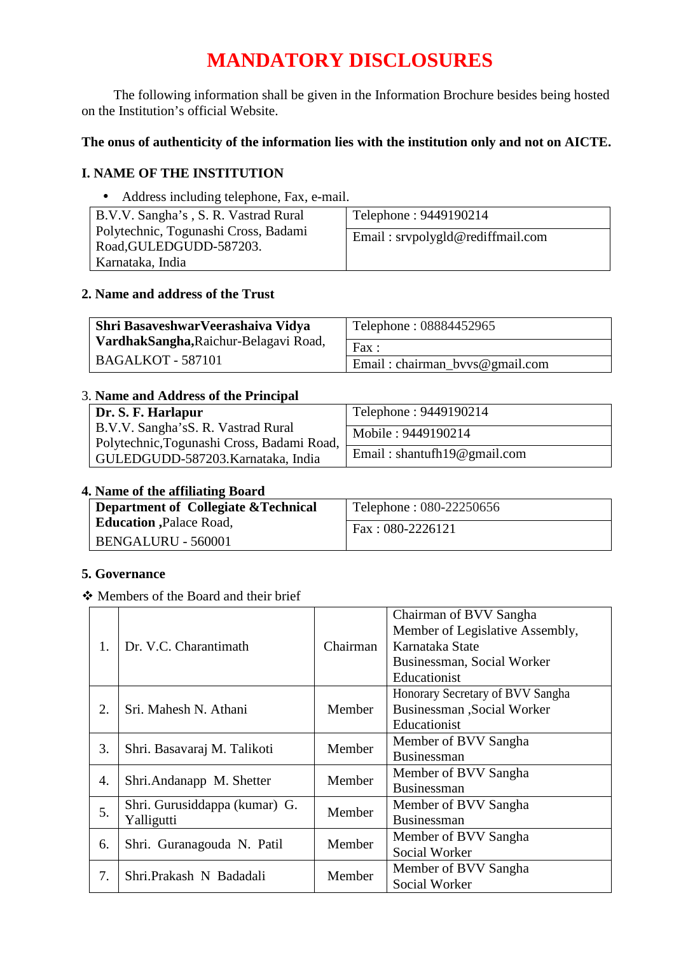# **MANDATORY DISCLOSURES**

The following information shall be given in the Information Brochure besides being hosted on the Institution's official Website.

# **The onus of authenticity of the information lies with the institution only and not on AICTE.**

### **I. NAME OF THE INSTITUTION**

• Address including telephone, Fax, e-mail.

| B.V.V. Sangha's, S. R. Vastrad Rural                            | Telephone: 9449190214            |
|-----------------------------------------------------------------|----------------------------------|
| Polytechnic, Togunashi Cross, Badami<br>Road, GULEDGUDD-587203. | Email: srvpolygld@rediffmail.com |
| Karnataka, India                                                |                                  |

### **2. Name and address of the Trust**

| Shri BasaveshwarVeerashaiva Vidya     | Telephone: 08884452965         |  |
|---------------------------------------|--------------------------------|--|
| VardhakSangha, Raichur-Belagavi Road, | Fax:                           |  |
| <b>BAGALKOT - 587101</b>              | Email: chairman_bvvs@gmail.com |  |

### 3. **Name and Address of the Principal**

| Dr. S. F. Harlapur                         | Telephone: 9449190214       |
|--------------------------------------------|-----------------------------|
|                                            |                             |
| B.V.V. Sangha's S. R. Vastrad Rural        | Mobile: 9449190214          |
|                                            |                             |
| Polytechnic, Togunashi Cross, Badami Road, |                             |
| GULEDGUDD-587203. Karnataka, India         | Email: shantufh19@gmail.com |
|                                            |                             |

### **4. Name of the affiliating Board**

| Department of Collegiate & Technical | Telephone: 080-22250656 |
|--------------------------------------|-------------------------|
| <b>Education</b> , Palace Road,      | Fax: $080-2226121$      |
| <b>BENGALURU - 560001</b>            |                         |

### **5. Governance**

Members of the Board and their brief

| 1. | Dr. V.C. Charantimath                       | Chairman | Chairman of BVV Sangha<br>Member of Legislative Assembly,<br>Karnataka State<br>Businessman, Social Worker |
|----|---------------------------------------------|----------|------------------------------------------------------------------------------------------------------------|
| 2. | Sri. Mahesh N. Athani                       | Member   | Educationist<br>Honorary Secretary of BVV Sangha<br>Businessman , Social Worker<br>Educationist            |
| 3. | Shri. Basavaraj M. Talikoti                 | Member   | Member of BVV Sangha<br><b>Businessman</b>                                                                 |
| 4. | Shri.Andanapp M. Shetter                    | Member   | Member of BVV Sangha<br><b>Businessman</b>                                                                 |
| 5. | Shri. Gurusiddappa (kumar) G.<br>Yalligutti | Member   | Member of BVV Sangha<br>Businessman                                                                        |
| 6. | Shri. Guranagouda N. Patil                  | Member   | Member of BVV Sangha<br>Social Worker                                                                      |
| 7. | Shri.Prakash N Badadali                     | Member   | Member of BVV Sangha<br>Social Worker                                                                      |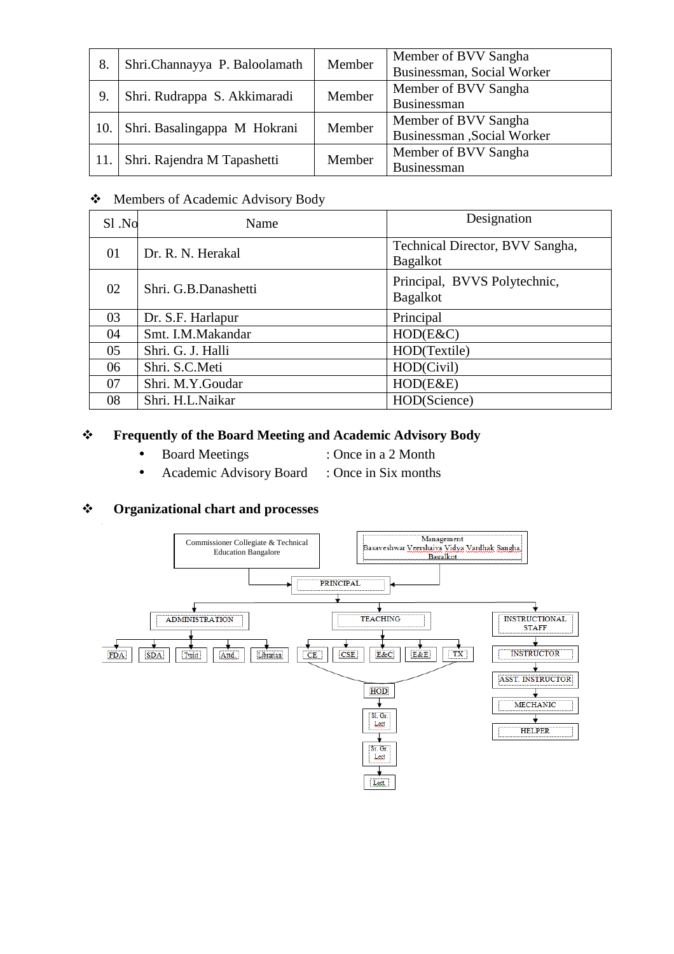| 8.  | Shri.Channayya P. Baloolamath | Member | Member of BVV Sangha<br>Businessman, Social Worker  |
|-----|-------------------------------|--------|-----------------------------------------------------|
| 9.  | Shri. Rudrappa S. Akkimaradi  | Member | Member of BVV Sangha<br>Businessman                 |
| 10. | Shri. Basalingappa M Hokrani  | Member | Member of BVV Sangha<br>Businessman , Social Worker |
|     | Shri. Rajendra M Tapashetti   | Member | Member of BVV Sangha<br>Businessman                 |

## Members of Academic Advisory Body

| Sl.No | Name                 | Designation                                        |  |
|-------|----------------------|----------------------------------------------------|--|
| 01    | Dr. R. N. Herakal    | Technical Director, BVV Sangha,<br><b>Bagalkot</b> |  |
| 02    | Shri. G.B.Danashetti | Principal, BVVS Polytechnic,<br><b>Bagalkot</b>    |  |
| 03    | Dr. S.F. Harlapur    | Principal                                          |  |
| 04    | Smt. I.M.Makandar    | HOD(ExC)                                           |  |
| 05    | Shri. G. J. Halli    | HOD(Textile)                                       |  |
| 06    | Shri. S.C.Meti       | HOD(Civil)                                         |  |
| 07    | Shri. M.Y.Goudar     | HOD(E&E)                                           |  |
| 08    | Shri. H.L.Naikar     | HOD(Science)                                       |  |

## **Frequently of the Board Meeting and Academic Advisory Body**

- Board Meetings : Once in a 2 Month
	-
- Academic Advisory Board : Once in Six months

### **Organizational chart and processes**

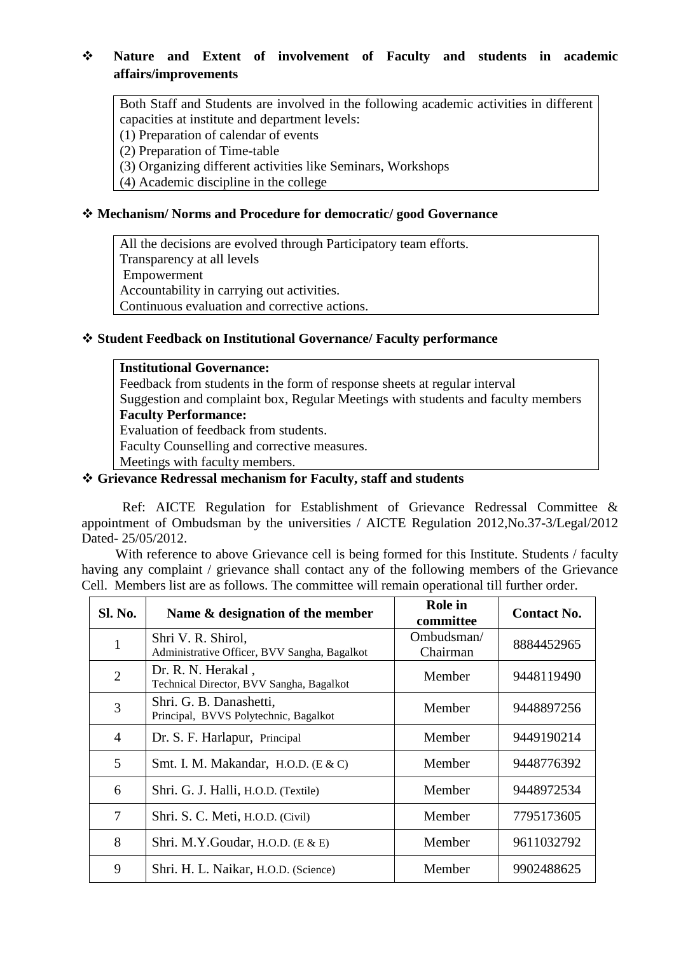### **Nature and Extent of involvement of Faculty and students in academic affairs/improvements**

Both Staff and Students are involved in the following academic activities in different capacities at institute and department levels:

(1) Preparation of calendar of events

(2) Preparation of Time-table

(3) Organizing different activities like Seminars, Workshops

(4) Academic discipline in the college

### **Mechanism/ Norms and Procedure for democratic/ good Governance**

All the decisions are evolved through Participatory team efforts. Transparency at all levels Empowerment Accountability in carrying out activities. Continuous evaluation and corrective actions.

### **Student Feedback on Institutional Governance/ Faculty performance**

### **Institutional Governance:**

Feedback from students in the form of response sheets at regular interval Suggestion and complaint box, Regular Meetings with students and faculty members

### **Faculty Performance:**

Evaluation of feedback from students.

Faculty Counselling and corrective measures.

Meetings with faculty members.

### **Grievance Redressal mechanism for Faculty, staff and students**

Ref: AICTE Regulation for Establishment of Grievance Redressal Committee & appointment of Ombudsman by the universities / AICTE Regulation 2012,No.37-3/Legal/2012 Dated- 25/05/2012.

With reference to above Grievance cell is being formed for this Institute. Students / faculty having any complaint / grievance shall contact any of the following members of the Grievance Cell. Members list are as follows. The committee will remain operational till further order.

| <b>Sl. No.</b> | Name & designation of the member                                   | <b>Role</b> in<br>committee | <b>Contact No.</b> |
|----------------|--------------------------------------------------------------------|-----------------------------|--------------------|
| $\mathbf{1}$   | Shri V. R. Shirol,<br>Administrative Officer, BVV Sangha, Bagalkot | Ombudsman/<br>Chairman      | 8884452965         |
| $\overline{2}$ | Dr. R. N. Herakal,<br>Technical Director, BVV Sangha, Bagalkot     | Member                      | 9448119490         |
| 3              | Shri. G. B. Danashetti,<br>Principal, BVVS Polytechnic, Bagalkot   | Member                      | 9448897256         |
| 4              | Dr. S. F. Harlapur, Principal                                      | Member                      | 9449190214         |
| 5              | Smt. I. M. Makandar, H.O.D. (E & C)                                | Member                      | 9448776392         |
| 6              | Shri. G. J. Halli, H.O.D. (Textile)                                | Member                      | 9448972534         |
| 7              | Shri. S. C. Meti, H.O.D. (Civil)                                   | Member                      | 7795173605         |
| 8              | Shri. M.Y.Goudar, H.O.D. $(E & E)$                                 | Member                      | 9611032792         |
| 9              | Shri. H. L. Naikar, H.O.D. (Science)                               | Member                      | 9902488625         |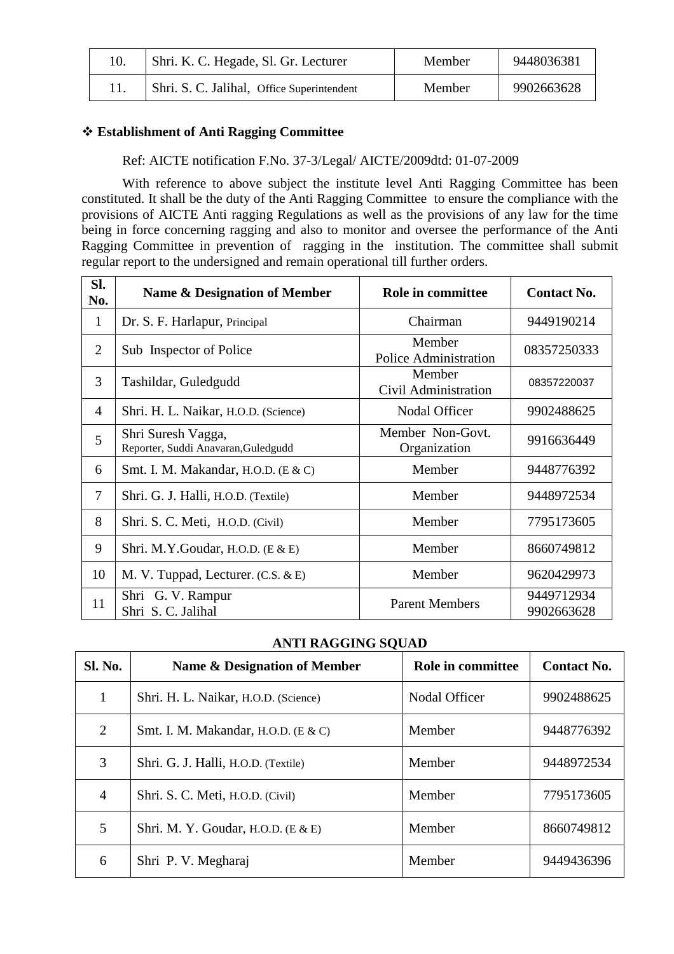| Shri, K. C. Hegade, Sl. Gr. Lecturer       | Member | 9448036381 |
|--------------------------------------------|--------|------------|
| Shri. S. C. Jalihal, Office Superintendent | Member | 9902663628 |

### **Establishment of Anti Ragging Committee**

Ref: AICTE notification F.No. 37-3/Legal/ AICTE/2009dtd: 01-07-2009

With reference to above subject the institute level Anti Ragging Committee has been constituted. It shall be the duty of the Anti Ragging Committee to ensure the compliance with the provisions of AICTE Anti ragging Regulations as well as the provisions of any law for the time being in force concerning ragging and also to monitor and oversee the performance of the Anti Ragging Committee in prevention of ragging in the institution. The committee shall submit regular report to the undersigned and remain operational till further orders.

| Sl.<br>No.     | Name & Designation of Member                              | Role in committee                      | <b>Contact No.</b>       |
|----------------|-----------------------------------------------------------|----------------------------------------|--------------------------|
| $\mathbf{1}$   | Dr. S. F. Harlapur, Principal                             | Chairman                               | 9449190214               |
| $\overline{2}$ | Sub Inspector of Police                                   | Member<br><b>Police Administration</b> | 08357250333              |
| 3              | Tashildar, Guledgudd                                      | Member<br>Civil Administration         | 08357220037              |
| $\overline{4}$ | Shri. H. L. Naikar, H.O.D. (Science)                      | <b>Nodal Officer</b>                   | 9902488625               |
| 5              | Shri Suresh Vagga,<br>Reporter, Suddi Anavaran, Guledgudd | Member Non-Govt.<br>Organization       | 9916636449               |
| 6              | Smt. I. M. Makandar, H.O.D. $(E & C)$                     | Member                                 | 9448776392               |
| 7              | Shri. G. J. Halli, H.O.D. (Textile)                       | Member                                 | 9448972534               |
| 8              | Shri. S. C. Meti, H.O.D. (Civil)                          | Member                                 | 7795173605               |
| 9              | Shri. M.Y.Goudar, H.O.D. $(E & E)$                        | Member                                 | 8660749812               |
| 10             | M. V. Tuppad, Lecturer. (C.S. & E)                        | Member                                 | 9620429973               |
| 11             | Shri G. V. Rampur<br>Shri S. C. Jalihal                   | <b>Parent Members</b>                  | 9449712934<br>9902663628 |

#### **ANTI RAGGING SQUAD**

| <b>Sl. No.</b>              | Name & Designation of Member         | Role in committee | <b>Contact No.</b> |
|-----------------------------|--------------------------------------|-------------------|--------------------|
|                             | Shri. H. L. Naikar, H.O.D. (Science) | Nodal Officer     | 9902488625         |
| $\mathcal{D}_{\mathcal{L}}$ | Smt. I. M. Makandar, H.O.D. (E & C)  | Member            | 9448776392         |
| 3                           | Shri. G. J. Halli, H.O.D. (Textile)  | Member            | 9448972534         |
| 4                           | Shri. S. C. Meti, H.O.D. (Civil)     | Member            | 7795173605         |
| 5                           | Shri, M. Y. Goudar, H.O.D. $(E & E)$ | Member            | 8660749812         |
| 6                           | Shri P. V. Megharaj                  | Member            | 9449436396         |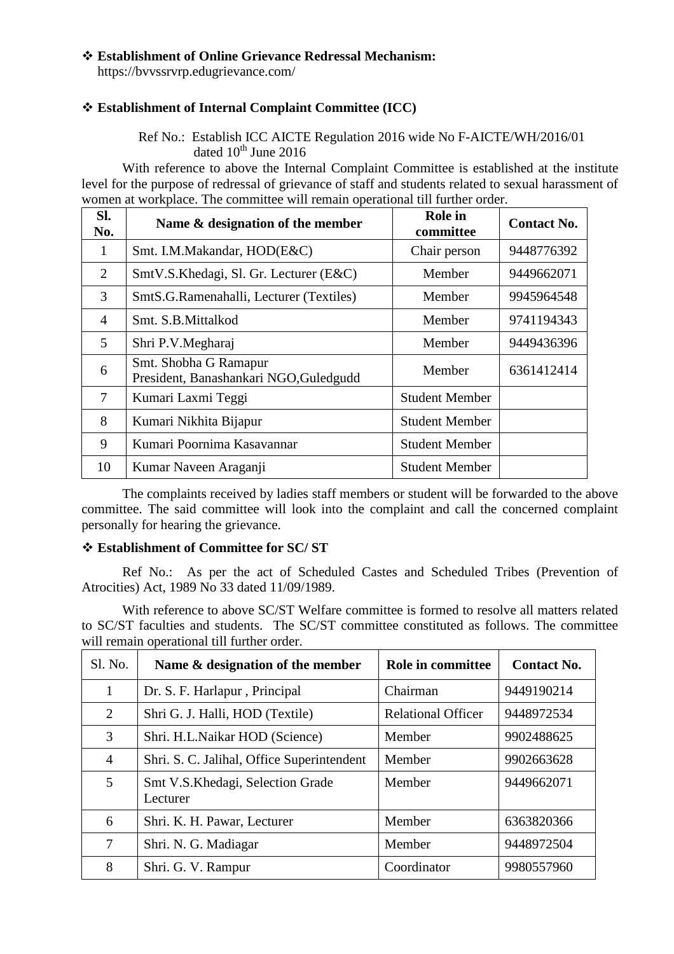#### **Establishment of Online Grievance Redressal Mechanism:**

https://bvvssrvrp.edugrievance.com/

### **Establishment of Internal Complaint Committee (ICC)**

Ref No.: Establish ICC AICTE Regulation 2016 wide No F-AICTE/WH/2016/01 dated  $10^{th}$  June 2016

With reference to above the Internal Complaint Committee is established at the institute level for the purpose of redressal of grievance of staff and students related to sexual harassment of women at workplace. The committee will remain operational till further order.

| SI.<br>No.                  | Name & designation of the member                                | Role in<br>committee  | <b>Contact No.</b> |
|-----------------------------|-----------------------------------------------------------------|-----------------------|--------------------|
| 1                           | Smt. I.M.Makandar, HOD(E&C)                                     | Chair person          | 9448776392         |
| $\mathcal{D}_{\mathcal{L}}$ | SmtV.S.Khedagi, Sl. Gr. Lecturer (E&C)                          | Member                | 9449662071         |
| 3                           | SmtS.G.Ramenahalli, Lecturer (Textiles)                         | Member                | 9945964548         |
| $\overline{4}$              | Smt. S.B.Mittalkod                                              | Member                | 9741194343         |
| 5                           | Shri P.V.Megharaj                                               | Member                | 9449436396         |
| 6                           | Smt. Shobha G Ramapur<br>President, Banashankari NGO, Guledgudd | Member                | 6361412414         |
| 7                           | Kumari Laxmi Teggi                                              | <b>Student Member</b> |                    |
| 8                           | Kumari Nikhita Bijapur                                          | <b>Student Member</b> |                    |
| 9                           | Kumari Poornima Kasavannar                                      | <b>Student Member</b> |                    |
| 10                          | Kumar Naveen Araganji                                           | <b>Student Member</b> |                    |

The complaints received by ladies staff members or student will be forwarded to the above committee. The said committee will look into the complaint and call the concerned complaint personally for hearing the grievance.

#### **Establishment of Committee for SC/ ST**

Ref No.: As per the act of Scheduled Castes and Scheduled Tribes (Prevention of Atrocities) Act, 1989 No 33 dated 11/09/1989.

With reference to above SC/ST Welfare committee is formed to resolve all matters related to SC/ST faculties and students. The SC/ST committee constituted as follows. The committee will remain operational till further order.

| Sl. No.        | Name & designation of the member             | Role in committee         | <b>Contact No.</b> |
|----------------|----------------------------------------------|---------------------------|--------------------|
| 1              | Dr. S. F. Harlapur, Principal                | Chairman                  | 9449190214         |
| 2              | Shri G. J. Halli, HOD (Textile)              | <b>Relational Officer</b> | 9448972534         |
| 3              | Shri. H.L.Naikar HOD (Science)               | Member                    | 9902488625         |
| $\overline{4}$ | Shri. S. C. Jalihal, Office Superintendent   | Member                    | 9902663628         |
| 5              | Smt V.S.Khedagi, Selection Grade<br>Lecturer | Member                    | 9449662071         |
| 6              | Shri. K. H. Pawar, Lecturer                  | Member                    | 6363820366         |
| 7              | Shri. N. G. Madiagar                         | Member                    | 9448972504         |
| 8              | Shri. G. V. Rampur                           | Coordinator               | 9980557960         |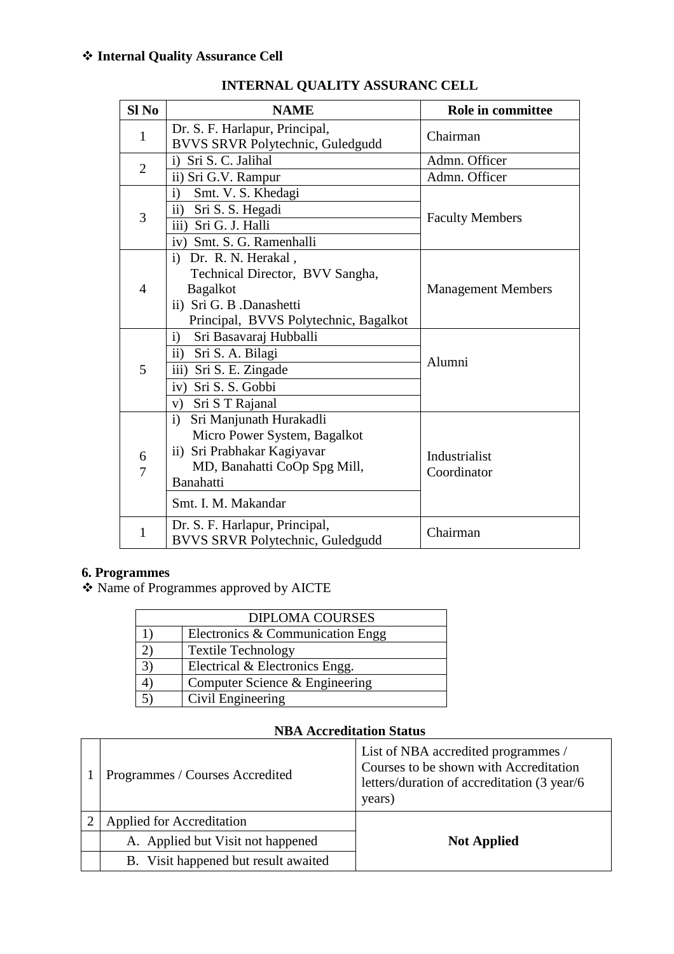| $SI$ No        | <b>NAME</b>                                                        | Role in committee         |  |  |
|----------------|--------------------------------------------------------------------|---------------------------|--|--|
| $\mathbf{1}$   | Dr. S. F. Harlapur, Principal,<br>BVVS SRVR Polytechnic, Guledgudd | Chairman                  |  |  |
| $\overline{2}$ | Sri S. C. Jalihal<br>$\mathbf{i}$                                  | Admn. Officer             |  |  |
|                | ii) Sri G.V. Rampur                                                | Admn. Officer             |  |  |
|                | Smt. V. S. Khedagi<br>$\mathbf{i}$                                 |                           |  |  |
| 3              | $\mathbf{ii}$<br>Sri S. S. Hegadi                                  | <b>Faculty Members</b>    |  |  |
|                | iii) Sri G. J. Halli                                               |                           |  |  |
|                | iv) Smt. S. G. Ramenhalli                                          |                           |  |  |
|                | Dr. R. N. Herakal,<br>$\ddot{1}$                                   |                           |  |  |
|                | Technical Director, BVV Sangha,                                    |                           |  |  |
| 4              | <b>Bagalkot</b>                                                    | <b>Management Members</b> |  |  |
|                | ii) Sri G. B .Danashetti                                           |                           |  |  |
|                | Principal, BVVS Polytechnic, Bagalkot                              |                           |  |  |
|                | Sri Basavaraj Hubballi<br>$\mathbf{i}$                             |                           |  |  |
|                | ii) Sri S. A. Bilagi                                               | Alumni                    |  |  |
| 5              | iii) Sri S. E. Zingade                                             |                           |  |  |
|                | iv) Sri S. S. Gobbi                                                |                           |  |  |
|                | Sri S T Rajanal<br>V)                                              |                           |  |  |
|                | Sri Manjunath Hurakadli<br>$\mathbf{i}$                            |                           |  |  |
|                | Micro Power System, Bagalkot                                       |                           |  |  |
| 6<br>7         | ii) Sri Prabhakar Kagiyavar                                        | Industrialist             |  |  |
|                | MD, Banahatti CoOp Spg Mill,                                       | Coordinator               |  |  |
|                | Banahatti                                                          |                           |  |  |
|                | Smt. I. M. Makandar                                                |                           |  |  |
| 1              | Dr. S. F. Harlapur, Principal,                                     | Chairman                  |  |  |
|                | BVVS SRVR Polytechnic, Guledgudd                                   |                           |  |  |

# **INTERNAL QUALITY ASSURANC CELL**

## **6. Programmes**

Name of Programmes approved by AICTE

| <b>DIPLOMA COURSES</b> |                                  |  |  |  |  |
|------------------------|----------------------------------|--|--|--|--|
|                        | Electronics & Communication Engg |  |  |  |  |
|                        | <b>Textile Technology</b>        |  |  |  |  |
|                        | Electrical & Electronics Engg.   |  |  |  |  |
|                        | Computer Science & Engineering   |  |  |  |  |
|                        | Civil Engineering                |  |  |  |  |

## **NBA Accreditation Status**

| Programmes / Courses Accredited      | List of NBA accredited programmes /<br>Courses to be shown with Accreditation<br>letters/duration of accreditation (3 year/6)<br>years) |
|--------------------------------------|-----------------------------------------------------------------------------------------------------------------------------------------|
| Applied for Accreditation            |                                                                                                                                         |
| A. Applied but Visit not happened    | <b>Not Applied</b>                                                                                                                      |
| B. Visit happened but result awaited |                                                                                                                                         |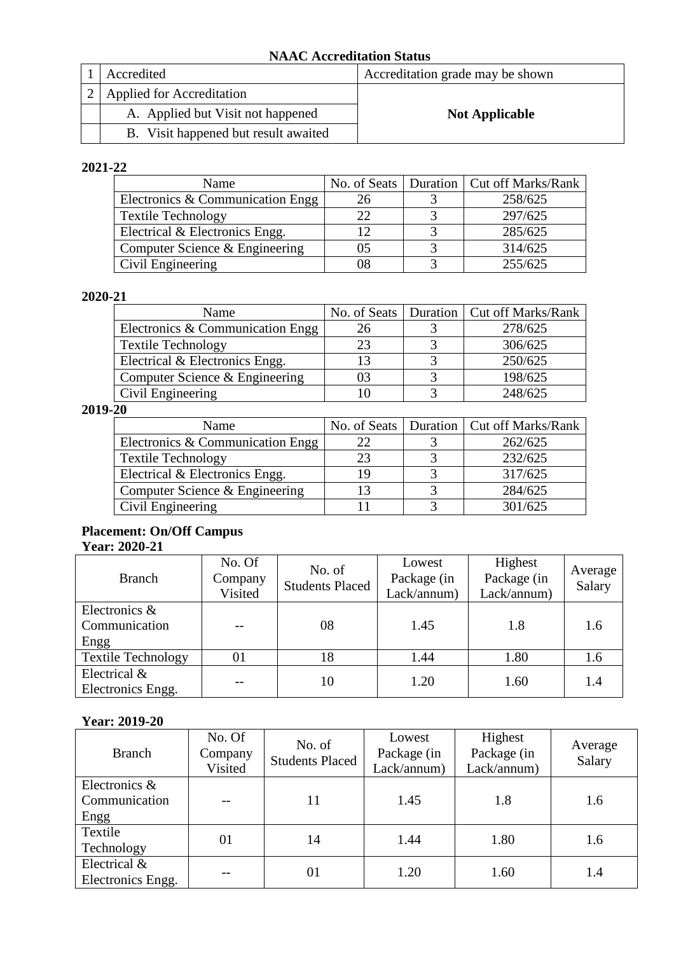### **NAAC Accreditation Status**

| Accredited                           | Accreditation grade may be shown |
|--------------------------------------|----------------------------------|
| <b>Applied for Accreditation</b>     |                                  |
| A. Applied but Visit not happened    | <b>Not Applicable</b>            |
| B. Visit happened but result awaited |                                  |

### **2021-22**

| Name                             |    | No. of Seats   Duration   Cut off Marks/Rank |
|----------------------------------|----|----------------------------------------------|
| Electronics & Communication Engg |    | 258/625                                      |
| <b>Textile Technology</b>        | 22 | 297/625                                      |
| Electrical & Electronics Engg.   | 12 | 285/625                                      |
| Computer Science & Engineering   | 05 | 314/625                                      |
| Civil Engineering                | 08 | 255/625                                      |

### **2020-21**

| Name                             |    | No. of Seats   Duration   Cut off Marks/Rank |
|----------------------------------|----|----------------------------------------------|
| Electronics & Communication Engg | 26 | 278/625                                      |
| <b>Textile Technology</b>        | 23 | 306/625                                      |
| Electrical & Electronics Engg.   |    | 250/625                                      |
| Computer Science & Engineering   | 03 | 198/625                                      |
| Civil Engineering                |    | 248/625                                      |

### **2019-20**

| Name                             |    | No. of Seats   Duration   Cut off Marks/Rank |
|----------------------------------|----|----------------------------------------------|
| Electronics & Communication Engg | 22 | 262/625                                      |
| <b>Textile Technology</b>        | 23 | 232/625                                      |
| Electrical & Electronics Engg.   | 19 | 317/625                                      |
| Computer Science & Engineering   |    | 284/625                                      |
| Civil Engineering                |    | 301/625                                      |

# **Placement: On/Off Campus**

# **Year: 2020-21**

| <b>Branch</b>             | No. Of<br>Company<br>Visited | No. of<br><b>Students Placed</b> | Lowest<br>Package (in<br>Lack/annum) | Highest<br>Package (in<br>Lack/annum) | Average<br>Salary |
|---------------------------|------------------------------|----------------------------------|--------------------------------------|---------------------------------------|-------------------|
| Electronics &             |                              |                                  |                                      |                                       |                   |
| Communication             |                              | 08                               | 1.45                                 | 1.8                                   | 1.6               |
| Engg                      |                              |                                  |                                      |                                       |                   |
| <b>Textile Technology</b> | 01                           | 18                               | 1.44                                 | 1.80                                  | 1.6               |
| Electrical &              |                              | 10                               | 1.20                                 | 1.60                                  | 1.4               |
| Electronics Engg.         |                              |                                  |                                      |                                       |                   |

### **Year: 2019-20**

| <b>Branch</b>                          | No. Of<br>Company<br>Visited | No. of<br><b>Students Placed</b> | Lowest<br>Package (in<br>Lack/annum) | Highest<br>Package (in<br>Lack/annum) | Average<br>Salary |
|----------------------------------------|------------------------------|----------------------------------|--------------------------------------|---------------------------------------|-------------------|
| Electronics &<br>Communication<br>Engg |                              | 11                               | 1.45                                 | 1.8                                   | 1.6               |
| Textile<br>Technology                  | 01                           | 14                               | 1.44                                 | 1.80                                  | 1.6               |
| Electrical &<br>Electronics Engg.      |                              | 01                               | 1.20                                 | 1.60                                  | 1.4               |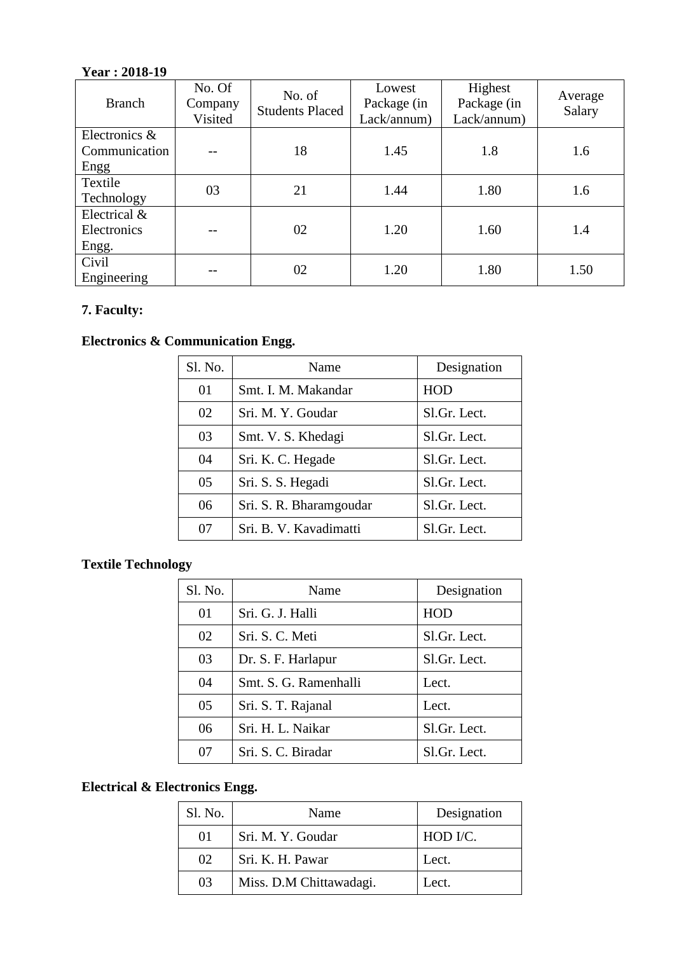## **Year : 2018-19**

| <b>Branch</b>                          | No. Of<br>Company<br>Visited | No. of<br><b>Students Placed</b> | Lowest<br>Package (in<br>Lack/annum) | Highest<br>Package (in<br>Lack/annum) | Average<br>Salary |
|----------------------------------------|------------------------------|----------------------------------|--------------------------------------|---------------------------------------|-------------------|
| Electronics &<br>Communication<br>Engg |                              | 18                               | 1.45                                 | 1.8                                   | 1.6               |
| Textile<br>Technology                  | 03                           | 21                               | 1.44                                 | 1.80                                  | 1.6               |
| Electrical &<br>Electronics<br>Engg.   |                              | 02                               | 1.20                                 | 1.60                                  | 1.4               |
| Civil<br>Engineering                   |                              | 02                               | 1.20                                 | 1.80                                  | 1.50              |

# **7. Faculty:**

# **Electronics & Communication Engg.**

| Sl. No. | Name                    | Designation  |
|---------|-------------------------|--------------|
| 01      | Smt. I. M. Makandar     | <b>HOD</b>   |
| 02      | Sri. M. Y. Goudar       | Sl.Gr. Lect. |
| 03      | Smt. V. S. Khedagi      | Sl.Gr. Lect. |
| 04      | Sri. K. C. Hegade       | Sl.Gr. Lect. |
| 05      | Sri. S. S. Hegadi       | Sl.Gr. Lect. |
| 06      | Sri. S. R. Bharamgoudar | Sl.Gr. Lect. |
| 07      | Sri. B. V. Kavadimatti  | Sl.Gr. Lect. |

# **Textile Technology**

| Sl. No. | Name                  | Designation  |
|---------|-----------------------|--------------|
| 01      | Sri. G. J. Halli      | HOD          |
| 02      | Sri. S. C. Meti       | Sl.Gr. Lect. |
| 03      | Dr. S. F. Harlapur    | Sl.Gr. Lect. |
| 04      | Smt. S. G. Ramenhalli | Lect.        |
| 05      | Sri. S. T. Rajanal    | Lect.        |
| 06      | Sri. H. L. Naikar     | Sl.Gr. Lect. |
| 07      | Sri. S. C. Biradar    | Sl.Gr. Lect. |

## **Electrical & Electronics Engg.**

| Sl. No.  | Name                    | Designation |
|----------|-------------------------|-------------|
| $\Omega$ | Sri. M. Y. Goudar       | HOD I/C.    |
| 02       | Sri. K. H. Pawar        | Lect.       |
| 03       | Miss. D.M Chittawadagi. | Lect.       |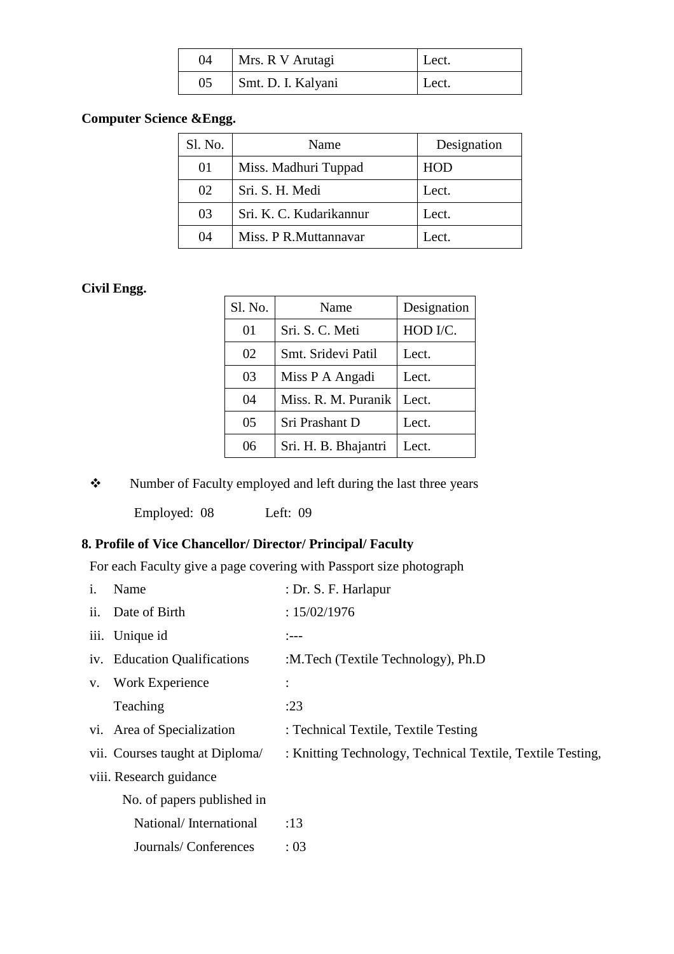| 04 | Mrs. R V Arutagi   | Lect. |
|----|--------------------|-------|
| 05 | Smt. D. I. Kalyani | Lect. |

## **Computer Science &Engg.**

| Sl. No. | Name                    | Designation |
|---------|-------------------------|-------------|
| 01      | Miss. Madhuri Tuppad    | HOD         |
| 02      | Sri. S. H. Medi         | Lect.       |
| 03      | Sri. K. C. Kudarikannur | Lect.       |
| 04      | Miss. P R.Muttannavar   | Lect.       |

## **Civil Engg.**

| Sl. No. | Name                 | Designation |
|---------|----------------------|-------------|
| 01      | Sri. S. C. Meti      | HOD I/C.    |
| 02      | Smt. Sridevi Patil   | Lect.       |
| 03      | Miss P A Angadi      | Lect.       |
| 04      | Miss. R. M. Puranik  | Lect.       |
| 05      | Sri Prashant D       | Lect.       |
| 06      | Sri. H. B. Bhajantri | Lect.       |

\* Number of Faculty employed and left during the last three years

Employed: 08 Left: 09

## **8. Profile of Vice Chancellor/ Director/ Principal/ Faculty**

For each Faculty give a page covering with Passport size photograph

| $\mathbf{1}$ . | Name                           | : Dr. S. F. Harlapur                                       |
|----------------|--------------------------------|------------------------------------------------------------|
|                | ii. Date of Birth              | : 15/02/1976                                               |
|                | iii. Unique id                 | $:---$                                                     |
|                | iv. Education Qualifications   | :M.Tech (Textile Technology), Ph.D                         |
| $V_{\bullet}$  | <b>Work Experience</b>         |                                                            |
|                | Teaching                       | :23                                                        |
|                | vi. Area of Specialization     | : Technical Textile, Textile Testing                       |
|                | vii. Courses taught at Diploma | : Knitting Technology, Technical Textile, Textile Testing, |
|                | viii. Research guidance        |                                                            |
|                | No. of papers published in     |                                                            |
|                | National/International         | :13                                                        |
|                | Journals/Conferences           | : 03                                                       |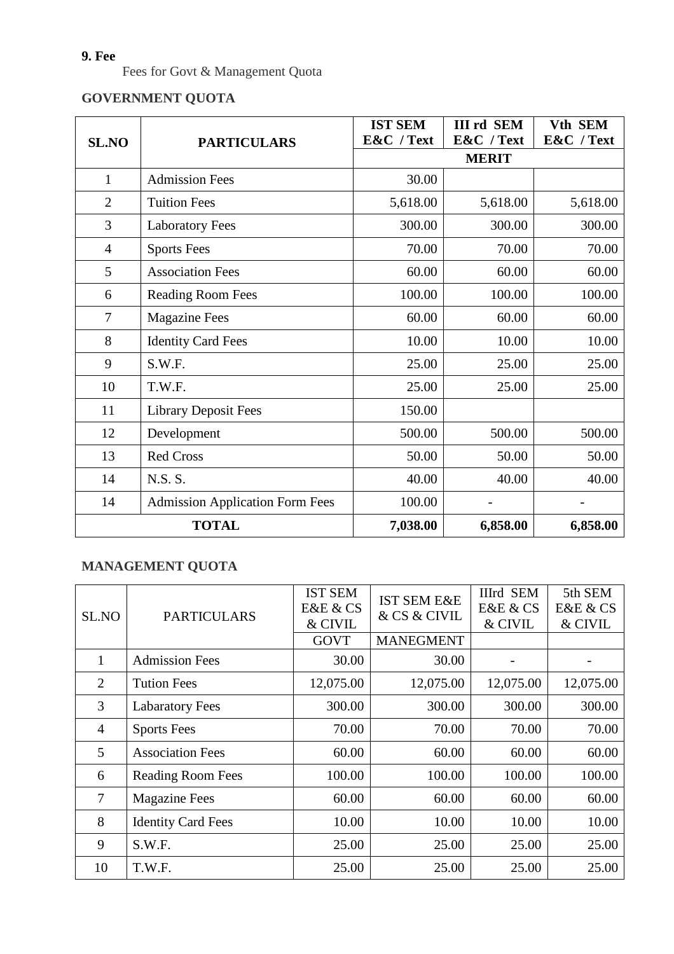# **9. Fee**

Fees for Govt & Management Quota

# **GOVERNMENT QUOTA**

|                |                                        | <b>IST SEM</b> | <b>III rd SEM</b> | Vth SEM    |
|----------------|----------------------------------------|----------------|-------------------|------------|
| <b>SL.NO</b>   | <b>PARTICULARS</b>                     | E&C / Text     | E&C / Text        | E&C / Text |
|                |                                        |                | <b>MERIT</b>      |            |
| $\mathbf{1}$   | <b>Admission Fees</b>                  | 30.00          |                   |            |
| $\overline{2}$ | <b>Tuition Fees</b>                    | 5,618.00       | 5,618.00          | 5,618.00   |
| 3              | <b>Laboratory Fees</b>                 | 300.00         | 300.00            | 300.00     |
| $\overline{4}$ | <b>Sports Fees</b>                     | 70.00          | 70.00             | 70.00      |
| 5              | <b>Association Fees</b>                | 60.00          | 60.00             | 60.00      |
| 6              | <b>Reading Room Fees</b>               | 100.00         | 100.00            | 100.00     |
| $\tau$         | <b>Magazine Fees</b>                   | 60.00          | 60.00             | 60.00      |
| 8              | <b>Identity Card Fees</b>              | 10.00          | 10.00             | 10.00      |
| 9              | S.W.F.                                 | 25.00          | 25.00             | 25.00      |
| 10             | T.W.F.                                 | 25.00          | 25.00             | 25.00      |
| 11             | <b>Library Deposit Fees</b>            | 150.00         |                   |            |
| 12             | Development                            | 500.00         | 500.00            | 500.00     |
| 13             | <b>Red Cross</b>                       | 50.00          | 50.00             | 50.00      |
| 14             | N.S. S.                                | 40.00          | 40.00             | 40.00      |
| 14             | <b>Admission Application Form Fees</b> | 100.00         |                   |            |
| <b>TOTAL</b>   |                                        | 7,038.00       | 6,858.00          | 6,858.00   |

# **MANAGEMENT QUOTA**

| SL.NO          | <b>PARTICULARS</b>        | <b>IST SEM</b><br>E&E & CS<br>& CIVIL<br><b>GOVT</b> | <b>IST SEM E&amp;E</b><br>& CS & CIVIL<br><b>MANEGMENT</b> | <b>IIIrd SEM</b><br>E&E & CS<br>& CIVIL | 5th SEM<br>E&E & CS<br>& CIVIL |
|----------------|---------------------------|------------------------------------------------------|------------------------------------------------------------|-----------------------------------------|--------------------------------|
| 1              | <b>Admission Fees</b>     | 30.00                                                | 30.00                                                      |                                         |                                |
| 2              | <b>Tution Fees</b>        | 12,075.00                                            | 12,075.00                                                  | 12,075.00                               | 12,075.00                      |
| 3              | <b>Labaratory Fees</b>    | 300.00                                               | 300.00                                                     | 300.00                                  | 300.00                         |
| $\overline{4}$ | <b>Sports Fees</b>        | 70.00                                                | 70.00                                                      | 70.00                                   | 70.00                          |
| 5              | <b>Association Fees</b>   | 60.00                                                | 60.00                                                      | 60.00                                   | 60.00                          |
| 6              | <b>Reading Room Fees</b>  | 100.00                                               | 100.00                                                     | 100.00                                  | 100.00                         |
| 7              | <b>Magazine Fees</b>      | 60.00                                                | 60.00                                                      | 60.00                                   | 60.00                          |
| 8              | <b>Identity Card Fees</b> | 10.00                                                | 10.00                                                      | 10.00                                   | 10.00                          |
| 9              | S.W.F.                    | 25.00                                                | 25.00                                                      | 25.00                                   | 25.00                          |
| 10             | T.W.F.                    | 25.00                                                | 25.00                                                      | 25.00                                   | 25.00                          |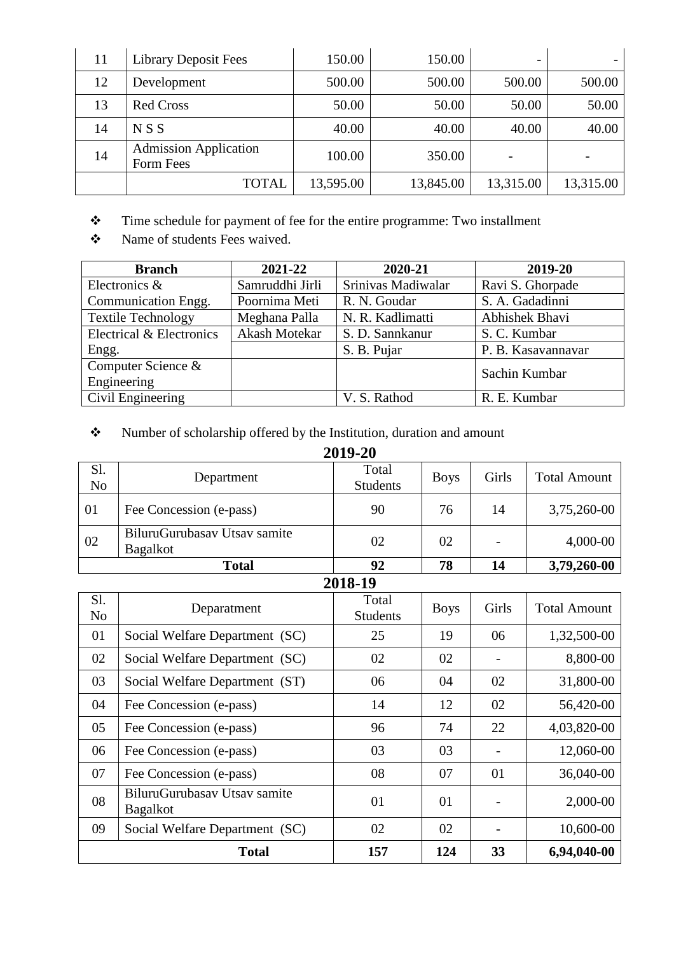| 11 | Library Deposit Fees                      | 150.00    | 150.00    | $\overline{\phantom{0}}$ |           |
|----|-------------------------------------------|-----------|-----------|--------------------------|-----------|
| 12 | Development                               | 500.00    | 500.00    | 500.00                   | 500.00    |
| 13 | <b>Red Cross</b>                          | 50.00     | 50.00     | 50.00                    | 50.00     |
| 14 | NSS                                       | 40.00     | 40.00     | 40.00                    | 40.00     |
| 14 | <b>Admission Application</b><br>Form Fees | 100.00    | 350.00    |                          |           |
|    | <b>TOTAL</b>                              | 13,595.00 | 13,845.00 | 13,315.00                | 13,315.00 |

- \* Time schedule for payment of fee for the entire programme: Two installment
- $\bullet$  Name of students Fees waived.

| <b>Branch</b>             | 2021-22         | 2020-21            | 2019-20            |
|---------------------------|-----------------|--------------------|--------------------|
| Electronics &             | Samruddhi Jirli | Srinivas Madiwalar | Ravi S. Ghorpade   |
| Communication Engg.       | Poornima Meti   | R. N. Goudar       | S. A. Gadadinni    |
| <b>Textile Technology</b> | Meghana Palla   | N. R. Kadlimatti   | Abhishek Bhavi     |
| Electrical & Electronics  | Akash Motekar   | S. D. Sannkanur    | S. C. Kumbar       |
| Engg.                     |                 | S. B. Pujar        | P. B. Kasavannavar |
| Computer Science &        |                 |                    | Sachin Kumbar      |
| Engineering               |                 |                    |                    |
| Civil Engineering         |                 | V. S. Rathod       | R. E. Kumbar       |

# Number of scholarship offered by the Institution, duration and amount

| 2019-20               |                                                 |                          |             |       |                     |  |  |
|-----------------------|-------------------------------------------------|--------------------------|-------------|-------|---------------------|--|--|
| Sl.<br>N <sub>o</sub> | Department                                      | Total<br><b>Students</b> | <b>Boys</b> | Girls | <b>Total Amount</b> |  |  |
| 01                    | Fee Concession (e-pass)                         | 90                       | 76          | 14    | 3,75,260-00         |  |  |
| 02                    | BiluruGurubasay Utsay samite<br><b>Bagalkot</b> | 02                       | 02          |       | 4,000-00            |  |  |
|                       | <b>Total</b>                                    | 92                       | 78          | 14    | 3,79,260-00         |  |  |
|                       |                                                 | 2018-19                  |             |       |                     |  |  |
| S1.<br>N <sub>o</sub> | Deparatment                                     | Total<br><b>Students</b> | <b>Boys</b> | Girls | <b>Total Amount</b> |  |  |
| 01                    | Social Welfare Department (SC)                  | 25                       | 19          | 06    | 1,32,500-00         |  |  |
| 02                    | Social Welfare Department (SC)                  | 02                       | 02          |       | 8,800-00            |  |  |
| 03                    | Social Welfare Department (ST)                  | 06                       | 04          | 02    | 31,800-00           |  |  |
| 04                    | Fee Concession (e-pass)                         | 14                       | 12          | 02    | 56,420-00           |  |  |
| 05                    | Fee Concession (e-pass)                         | 96                       | 74          | 22    | 4,03,820-00         |  |  |
| 06                    | Fee Concession (e-pass)                         | 03                       | 03          |       | 12,060-00           |  |  |
| 07                    | Fee Concession (e-pass)                         | 08                       | 07          | 01    | 36,040-00           |  |  |
| 08                    | BiluruGurubasav Utsav samite<br><b>Bagalkot</b> | 01                       | 01          |       | 2,000-00            |  |  |
| 09                    | Social Welfare Department (SC)                  | 02                       | 02          |       | 10,600-00           |  |  |
|                       | <b>Total</b><br>157<br>124<br>33<br>6,94,040-00 |                          |             |       |                     |  |  |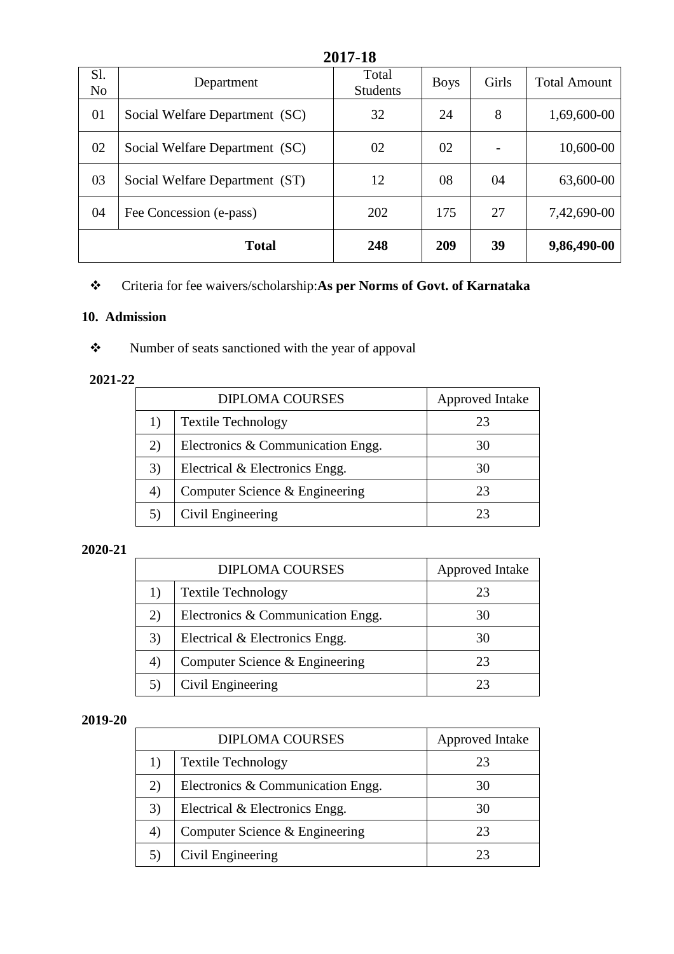| 2017-18               |                                                 |                          |             |       |                     |  |
|-----------------------|-------------------------------------------------|--------------------------|-------------|-------|---------------------|--|
| Sl.<br>N <sub>o</sub> | Department                                      | Total<br><b>Students</b> | <b>Boys</b> | Girls | <b>Total Amount</b> |  |
| 01                    | Social Welfare Department (SC)                  | 32                       | 24          | 8     | 1,69,600-00         |  |
| 02                    | Social Welfare Department (SC)                  | 02                       | 02          |       | 10,600-00           |  |
| 03                    | Social Welfare Department (ST)                  | 12                       | 08          | 04    | 63,600-00           |  |
| 04                    | Fee Concession (e-pass)                         | 202                      | 175         | 27    | 7,42,690-00         |  |
|                       | <b>Total</b><br>39<br>9,86,490-00<br>248<br>209 |                          |             |       |                     |  |

# Criteria for fee waivers/scholarship:**As per Norms of Govt. of Karnataka**

## **10. Admission**

\* Number of seats sanctioned with the year of appoval

### **2021-22**

|    | <b>DIPLOMA COURSES</b>            | Approved Intake |
|----|-----------------------------------|-----------------|
|    | <b>Textile Technology</b>         | 23              |
| 2) | Electronics & Communication Engg. | 30              |
| 3) | Electrical & Electronics Engg.    | 30              |
| 4) | Computer Science & Engineering    | 23              |
|    | Civil Engineering                 | フィ              |

#### **2020-21**

|    | <b>DIPLOMA COURSES</b>            | Approved Intake |
|----|-----------------------------------|-----------------|
|    | <b>Textile Technology</b>         | 23              |
| 2) | Electronics & Communication Engg. | 30              |
| 3) | Electrical & Electronics Engg.    | 30              |
| 4) | Computer Science & Engineering    | 23              |
|    | Civil Engineering                 | 23              |

#### **2019-20**

|    | <b>DIPLOMA COURSES</b>            | <b>Approved Intake</b> |
|----|-----------------------------------|------------------------|
| 1) | <b>Textile Technology</b>         | 23                     |
| 2) | Electronics & Communication Engg. | 30                     |
| 3) | Electrical & Electronics Engg.    | 30                     |
| 4) | Computer Science & Engineering    | 23                     |
|    | Civil Engineering                 | 23                     |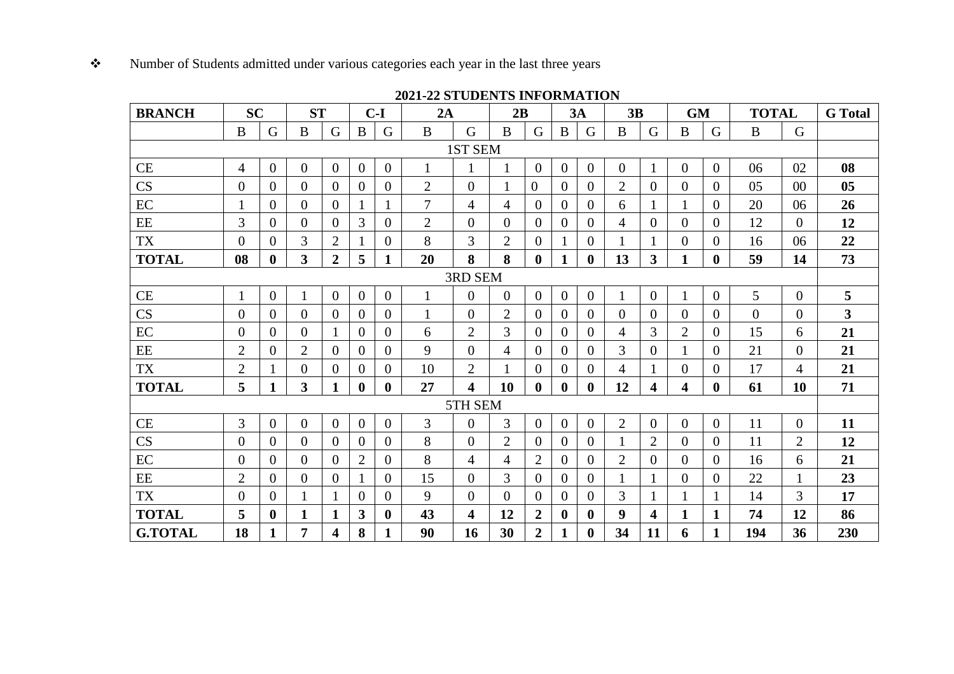#### $\bullet$ Number of Students admitted under various categories each year in the last three years

| <b>BRANCH</b>  | <b>SC</b>      |                  | <b>ST</b>      |                  |                         | $C-I$            | 2A             |                         | 2B             |                |                | 3A             | 3B             |                         | <b>GM</b>      |                | <b>TOTAL</b>   |                | <b>G</b> Total          |
|----------------|----------------|------------------|----------------|------------------|-------------------------|------------------|----------------|-------------------------|----------------|----------------|----------------|----------------|----------------|-------------------------|----------------|----------------|----------------|----------------|-------------------------|
|                | $\, {\bf B}$   | G                | $\mathbf{B}$   | G                | $\bf{B}$                | G                | $\bf{B}$       | G                       | $\bf{B}$       | G              | $\mathbf{B}$   | G              | B              | G                       | B              | $\mathsf G$    | $\, {\bf B}$   | G              |                         |
| 1ST SEM        |                |                  |                |                  |                         |                  |                |                         |                |                |                |                |                |                         |                |                |                |                |                         |
| CE             | $\overline{4}$ | $\overline{0}$   | $\overline{0}$ | $\overline{0}$   | $\overline{0}$          | $\overline{0}$   | 1              |                         |                | $\theta$       | $\mathbf{0}$   | $\overline{0}$ | $\overline{0}$ | 1                       | $\overline{0}$ | $\overline{0}$ | 06             | 02             | 08                      |
| CS             | $\overline{0}$ | $\overline{0}$   | $\overline{0}$ | $\theta$         | $\theta$                | $\theta$         | $\overline{2}$ | $\overline{0}$          |                | $\overline{0}$ | $\overline{0}$ | $\theta$       | 2              | $\overline{0}$          | $\overline{0}$ | $\overline{0}$ | 05             | $00\,$         | 0 <sub>5</sub>          |
| EC             | 1              | $\theta$         | $\theta$       | $\Omega$         |                         |                  | $\overline{7}$ | $\overline{4}$          | 4              | $\Omega$       | $\Omega$       | $\Omega$       | 6              |                         |                | $\overline{0}$ | 20             | 06             | 26                      |
| EE             | 3              | $\theta$         | $\theta$       | $\Omega$         | 3                       | $\Omega$         | $\overline{2}$ | $\Omega$                | $\theta$       | $\theta$       | $\Omega$       | $\Omega$       | $\overline{4}$ | $\overline{0}$          | $\Omega$       | $\overline{0}$ | 12             | $\overline{0}$ | 12                      |
| <b>TX</b>      | $\overline{0}$ | $\overline{0}$   | 3              | $\overline{2}$   |                         | $\overline{0}$   | 8              | 3                       | $\overline{2}$ | $\Omega$       |                | $\overline{0}$ |                |                         | $\Omega$       | $\overline{0}$ | 16             | 06             | 22                      |
| <b>TOTAL</b>   | 08             | $\boldsymbol{0}$ | 3              | $\overline{2}$   | 5                       | $\mathbf{1}$     | 20             | 8                       | 8              | $\mathbf{0}$   | 1              | $\bf{0}$       | 13             | 3                       | $\mathbf{1}$   | $\bf{0}$       | 59             | 14             | 73                      |
|                |                |                  |                |                  |                         |                  |                | 3RD SEM                 |                |                |                |                |                |                         |                |                |                |                |                         |
| <b>CE</b>      | $\mathbf{1}$   | $\overline{0}$   |                | $\overline{0}$   | $\overline{0}$          | $\theta$         | 1              | $\overline{0}$          | $\overline{0}$ | $\theta$       | $\overline{0}$ | $\Omega$       |                | $\overline{0}$          |                | $\overline{0}$ | 5              | $\overline{0}$ | 5                       |
| CS             | $\overline{0}$ | $\overline{0}$   | $\overline{0}$ | $\theta$         | $\Omega$                | $\Omega$         | 1              | $\overline{0}$          | $\overline{2}$ | $\Omega$       | $\overline{0}$ | $\Omega$       | $\Omega$       | $\Omega$                | $\theta$       | $\overline{0}$ | $\overline{0}$ | $\overline{0}$ | $\overline{\mathbf{3}}$ |
| EC             | $\overline{0}$ | $\overline{0}$   | $\overline{0}$ |                  | $\Omega$                | $\overline{0}$   | 6              | $\overline{2}$          | 3              | $\Omega$       | $\Omega$       | $\Omega$       | 4              | 3                       | $\overline{2}$ | $\overline{0}$ | 15             | 6              | 21                      |
| EE             | $\overline{2}$ | $\overline{0}$   | $\overline{2}$ | $\theta$         | $\Omega$                | $\Omega$         | 9              | $\overline{0}$          | 4              | $\Omega$       | $\theta$       | $\Omega$       | 3              | $\Omega$                |                | $\overline{0}$ | 21             | $\overline{0}$ | 21                      |
| <b>TX</b>      | $\overline{2}$ | 1                | $\overline{0}$ | $\mathbf{0}$     | $\theta$                | $\boldsymbol{0}$ | 10             | $\overline{2}$          |                | $\overline{0}$ | $\theta$       | $\theta$       | 4              |                         | $\overline{0}$ | $\overline{0}$ | 17             | 4              | 21                      |
| <b>TOTAL</b>   | 5              | $\mathbf{1}$     | 3              | $\mathbf{1}$     | $\mathbf{0}$            | $\bf{0}$         | 27             | $\overline{\mathbf{4}}$ | 10             | $\bf{0}$       | $\mathbf{0}$   | $\mathbf{0}$   | 12             | $\overline{\mathbf{4}}$ | 4              | $\bf{0}$       | 61             | 10             | 71                      |
|                |                |                  |                |                  |                         |                  |                | 5TH SEM                 |                |                |                |                |                |                         |                |                |                |                |                         |
| CE             | 3              | $\overline{0}$   | $\overline{0}$ | $\overline{0}$   | $\overline{0}$          | $\overline{0}$   | 3              | $\overline{0}$          | 3              | $\theta$       | $\overline{0}$ | $\overline{0}$ | $\overline{2}$ | $\overline{0}$          | $\overline{0}$ | $\overline{0}$ | 11             | $\overline{0}$ | 11                      |
| CS             | $\overline{0}$ | $\theta$         | $\theta$       | $\overline{0}$   | $\overline{0}$          | $\overline{0}$   | 8              | $\overline{0}$          | $\overline{2}$ | $\theta$       | $\theta$       | $\theta$       |                | $\overline{2}$          | $\Omega$       | $\overline{0}$ | 11             | $\overline{2}$ | 12                      |
| EC             | $\overline{0}$ | $\overline{0}$   | $\theta$       | $\overline{0}$   | $\overline{2}$          | $\theta$         | 8              | 4                       | 4              | $\overline{2}$ | $\overline{0}$ | $\overline{0}$ | $\overline{2}$ | $\overline{0}$          | $\overline{0}$ | $\overline{0}$ | 16             | 6              | 21                      |
| $\rm{EE}$      | $\overline{2}$ | $\overline{0}$   | $\theta$       | $\overline{0}$   | 1                       | $\overline{0}$   | 15             | $\overline{0}$          | 3              | $\Omega$       | $\theta$       | $\theta$       |                |                         | $\overline{0}$ | $\overline{0}$ | 22             | $\mathbf{1}$   | 23                      |
| <b>TX</b>      | $\overline{0}$ | $\theta$         |                | $\mathbf{1}$     | $\Omega$                | $\Omega$         | 9              | $\Omega$                | $\theta$       | $\Omega$       | $\Omega$       | $\Omega$       | 3              |                         |                | $\mathbf{1}$   | 14             | 3              | 17                      |
| <b>TOTAL</b>   | 5              | $\bf{0}$         | 1              | $\mathbf{1}$     | $\overline{\mathbf{3}}$ | $\bf{0}$         | 43             | 4                       | 12             | $\overline{2}$ | $\bf{0}$       | $\bf{0}$       | 9              | $\overline{\mathbf{4}}$ | 1              | $\mathbf{1}$   | 74             | 12             | 86                      |
| <b>G.TOTAL</b> | 18             | $\mathbf{1}$     | 7              | $\boldsymbol{4}$ | 8                       | 1                | 90             | 16                      | 30             | $\overline{2}$ | 1              | $\bf{0}$       | 34             | 11                      | 6              | 1              | 194            | 36             | 230                     |

### **2021-22 STUDENTS INFORMATION**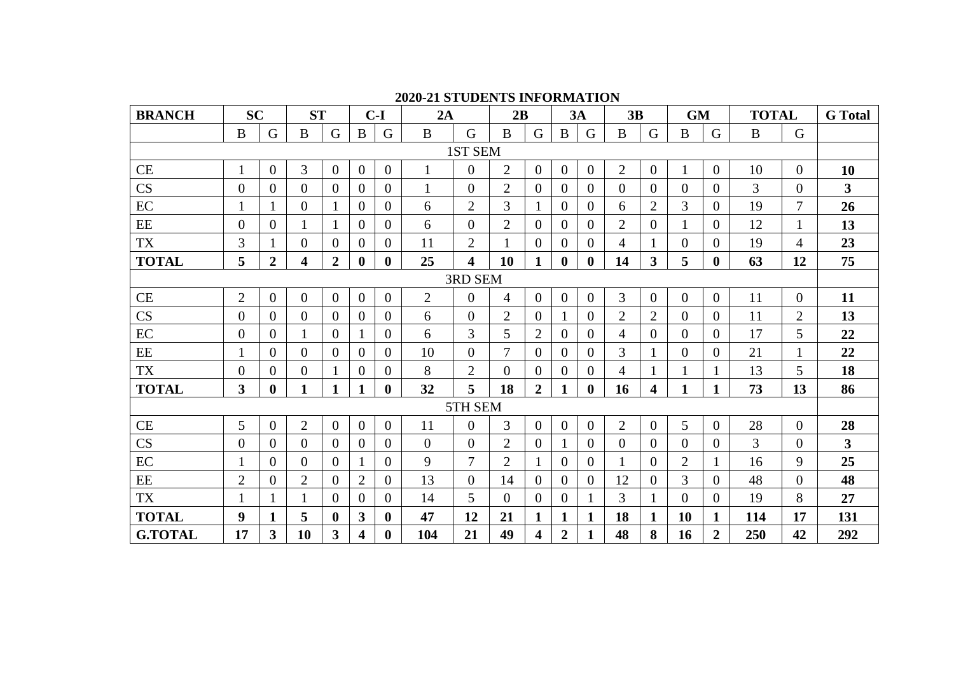| <b>BRANCH</b>          | <b>SC</b>      |                         | <b>ST</b>      |                  |                | $C-I$            | 2A             |                         | 2B             |                |                | 3A             | 3B             |                         | <b>GM</b>      |                  | <b>TOTAL</b>   |                  | <b>G</b> Total          |
|------------------------|----------------|-------------------------|----------------|------------------|----------------|------------------|----------------|-------------------------|----------------|----------------|----------------|----------------|----------------|-------------------------|----------------|------------------|----------------|------------------|-------------------------|
|                        | $\mathbf{B}$   | G                       | $\bf{B}$       | G                | $\bf{B}$       | G                | $\bf{B}$       | G                       | B              | G              | B              | G              | B              | G                       | $\, {\bf B}$   | G                | $\, {\bf B}$   | $\mathsf G$      |                         |
|                        |                |                         |                |                  |                |                  |                | 1ST SEM                 |                |                |                |                |                |                         |                |                  |                |                  |                         |
| CE                     | 1              | $\overline{0}$          | 3              | $\mathbf{0}$     | $\theta$       | $\overline{0}$   | 1              | $\boldsymbol{0}$        | $\overline{2}$ | $\theta$       | $\mathbf{0}$   | $\overline{0}$ | $\overline{2}$ | $\overline{0}$          | $\mathbf{1}$   | $\overline{0}$   | 10             | $\overline{0}$   | 10                      |
| $\overline{\text{CS}}$ | $\overline{0}$ | $\theta$                | $\theta$       | $\overline{0}$   | $\Omega$       | $\overline{0}$   | 1              | $\overline{0}$          | $\overline{2}$ | $\Omega$       | $\theta$       | 0              | $\Omega$       | $\Omega$                | $\overline{0}$ | $\theta$         | $\overline{3}$ | $\theta$         | $\overline{\mathbf{3}}$ |
| $\rm EC$               |                |                         | $\overline{0}$ |                  | $\overline{0}$ | $\overline{0}$   | 6              | $\overline{2}$          | 3              |                | $\overline{0}$ | $\overline{0}$ | 6              | $\overline{2}$          | 3              | $\boldsymbol{0}$ | 19             | 7                | 26                      |
| $\rm{EE}$              | $\theta$       | $\overline{0}$          | 1              | 1                | $\theta$       | $\overline{0}$   | 6              | $\boldsymbol{0}$        | $\overline{2}$ | $\theta$       | $\overline{0}$ | $\theta$       | $\overline{2}$ | $\overline{0}$          | 1              | $\overline{0}$   | 12             | $\mathbf{1}$     | 13                      |
| <b>TX</b>              | 3              |                         | $\theta$       | $\overline{0}$   | $\theta$       | $\overline{0}$   | 11             | $\overline{2}$          |                | $\theta$       | $\theta$       | $\theta$       | 4              | 1                       | $\overline{0}$ | $\overline{0}$   | 19             | 4                | 23                      |
| <b>TOTAL</b>           | 5              | $\overline{2}$          | 4              | $\boldsymbol{2}$ | $\bf{0}$       | $\bf{0}$         | 25             | $\overline{\mathbf{4}}$ | 10             | 1              | $\bf{0}$       | $\bf{0}$       | 14             | 3                       | 5              | $\bf{0}$         | 63             | 12               | 75                      |
|                        |                |                         |                |                  |                |                  |                | 3RD SEM                 |                |                |                |                |                |                         |                |                  |                |                  |                         |
| CE                     | $\mathbf{2}$   | $\overline{0}$          | $\overline{0}$ | $\mathbf{0}$     | $\overline{0}$ | $\overline{0}$   | $\overline{2}$ | $\overline{0}$          | $\overline{4}$ | $\overline{0}$ | $\mathbf{0}$   | $\theta$       | 3              | $\overline{0}$          | $\overline{0}$ | $\overline{0}$   | 11             | $\overline{0}$   | 11                      |
| $\overline{\text{CS}}$ | $\overline{0}$ | $\theta$                | $\overline{0}$ | $\overline{0}$   | $\Omega$       | $\overline{0}$   | 6              | $\overline{0}$          | $\overline{2}$ | $\theta$       |                | 0              | $\overline{2}$ | $\overline{2}$          | $\overline{0}$ | $\overline{0}$   | 11             | $\overline{2}$   | 13                      |
| $\rm EC$               | $\overline{0}$ | $\overline{0}$          | 1              | $\theta$         |                | $\overline{0}$   | 6              | 3                       | 5              | $\overline{2}$ | $\theta$       | 0              | 4              | $\overline{0}$          | $\overline{0}$ | $\overline{0}$   | 17             | 5                | 22                      |
| $\rm{EE}$              |                | $\overline{0}$          | $\overline{0}$ | $\overline{0}$   | $\overline{0}$ | $\overline{0}$   | 10             | $\overline{0}$          | 7              | $\overline{0}$ | $\overline{0}$ | $\overline{0}$ | $\overline{3}$ |                         | $\overline{0}$ | $\boldsymbol{0}$ | 21             | $\mathbf{1}$     | 22                      |
| <b>TX</b>              | $\overline{0}$ | $\overline{0}$          | $\theta$       |                  | $\theta$       | $\overline{0}$   | 8              | $\overline{2}$          | $\theta$       | $\theta$       | $\overline{0}$ | $\theta$       | 4              | 1                       |                | $\mathbf{1}$     | 13             | 5                | 18                      |
| <b>TOTAL</b>           | $\overline{3}$ | $\bf{0}$                | 1              | $\mathbf 1$      | 1              | $\mathbf{0}$     | 32             | 5                       | 18             | $\overline{2}$ | 1              | $\bf{0}$       | 16             | $\overline{\mathbf{4}}$ | 1              | 1                | 73             | 13               | 86                      |
|                        |                |                         |                |                  |                |                  |                | 5TH SEM                 |                |                |                |                |                |                         |                |                  |                |                  |                         |
| <b>CE</b>              | 5              | $\overline{0}$          | $\overline{2}$ | $\overline{0}$   | $\overline{0}$ | $\Omega$         | 11             | $\overline{0}$          | 3              | $\overline{0}$ | $\overline{0}$ | $\theta$       | $\overline{2}$ | $\overline{0}$          | 5              | $\mathbf{0}$     | 28             | $\overline{0}$   | 28                      |
| CS                     | $\overline{0}$ | $\theta$                | $\theta$       | $\theta$         | $\Omega$       | 0                | $\theta$       | $\Omega$                | $\overline{2}$ | $\overline{0}$ | 1              | $\Omega$       | $\Omega$       | $\Omega$                | $\Omega$       | $\theta$         | 3              | $\theta$         | $\overline{3}$          |
| $\rm EC$               | 1              | $\overline{0}$          | $\overline{0}$ | $\overline{0}$   |                | $\overline{0}$   | 9              | 7                       | $\overline{2}$ |                | $\theta$       | 0              |                | $\overline{0}$          | $\overline{2}$ | $\mathbf{1}$     | 16             | 9                | 25                      |
| $\rm{EE}$              | $\overline{2}$ | $\overline{0}$          | $\overline{2}$ | $\overline{0}$   | $\overline{2}$ | $\overline{0}$   | 13             | $\overline{0}$          | 14             | $\overline{0}$ | $\overline{0}$ | $\overline{0}$ | 12             | $\overline{0}$          | 3              | $\overline{0}$   | 48             | $\boldsymbol{0}$ | 48                      |
| <b>TX</b>              |                |                         | 1              | $\overline{0}$   | $\overline{0}$ | $\overline{0}$   | 14             | 5                       | $\Omega$       | $\overline{0}$ | $\overline{0}$ |                | 3              | $\mathbf{1}$            | $\overline{0}$ | $\theta$         | 19             | 8                | 27                      |
| <b>TOTAL</b>           | 9              | $\mathbf{1}$            | 5              | $\bf{0}$         | 3              | $\bf{0}$         | 47             | 12                      | 21             | 1              | $\mathbf{1}$   | 1              | 18             | $\mathbf{1}$            | 10             | 1                | 114            | 17               | 131                     |
| <b>G.TOTAL</b>         | 17             | $\overline{\mathbf{3}}$ | 10             | 3                | 4              | $\boldsymbol{0}$ | 104            | 21                      | 49             | 4              | $\overline{2}$ | 1              | 48             | 8                       | 16             | $\overline{2}$   | 250            | 42               | 292                     |

### **2020-21 STUDENTS INFORMATION**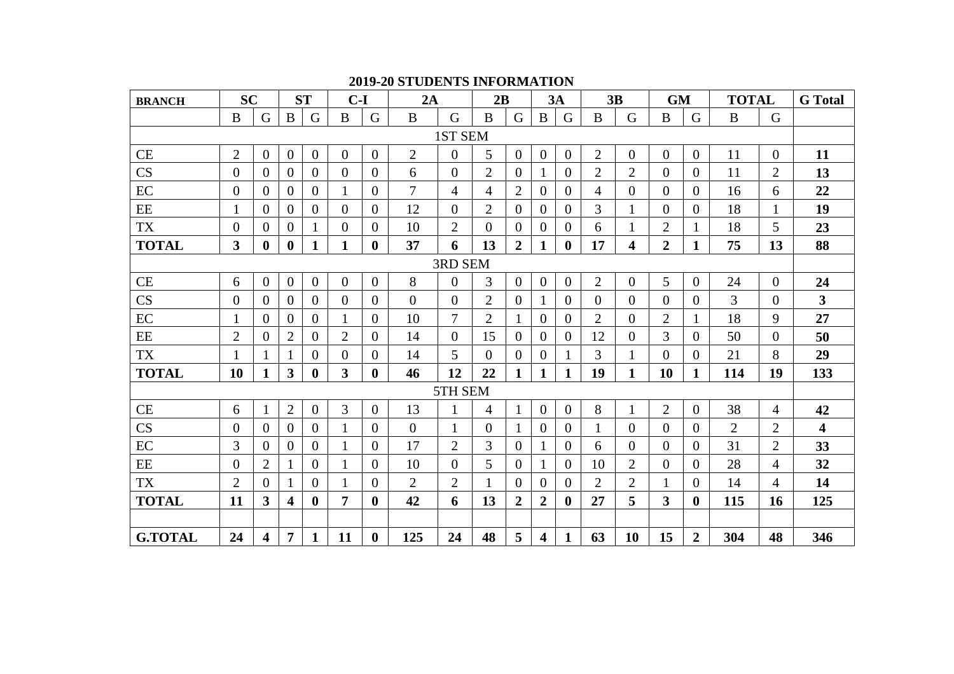| <b>BRANCH</b>  | <b>SC</b>      |                         |                         | <b>ST</b>      | $C-I$          |                | 2A             |                | 2B             |                |                         | 3A             |                | 3B                      | <b>GM</b>      |                | <b>TOTAL</b>   |                | <b>G</b> Total          |
|----------------|----------------|-------------------------|-------------------------|----------------|----------------|----------------|----------------|----------------|----------------|----------------|-------------------------|----------------|----------------|-------------------------|----------------|----------------|----------------|----------------|-------------------------|
|                | $\bf{B}$       | G                       | $\bf{B}$                | G              | $\bf{B}$       | G              | $\bf{B}$       | G              | B              | $\mathbf G$    | $\mathbf{B}$            | G              | $\bf{B}$       | G                       | $\mathbf B$    | $\mathsf G$    | $\, {\bf B}$   | $\mathsf G$    |                         |
|                |                |                         |                         |                |                |                |                | 1ST SEM        |                |                |                         |                |                |                         |                |                |                |                |                         |
| CE             | $\overline{2}$ | $\theta$                | $\overline{0}$          | $\overline{0}$ | $\overline{0}$ | $\overline{0}$ | $\overline{2}$ | $\overline{0}$ | 5              | $\overline{0}$ | $\overline{0}$          | $\overline{0}$ | $\overline{2}$ | $\overline{0}$          | $\overline{0}$ | $\Omega$       | 11             | $\theta$       | 11                      |
| CS             | $\overline{0}$ | $\theta$                | $\Omega$                | $\overline{0}$ | $\overline{0}$ | $\overline{0}$ | 6              | $\Omega$       | $\overline{2}$ | $\overline{0}$ |                         | $\Omega$       | $\overline{2}$ | $\overline{2}$          | $\theta$       | $\Omega$       | 11             | $\overline{2}$ | 13                      |
| EC             | $\overline{0}$ | $\theta$                | $\overline{0}$          | $\overline{0}$ | $\mathbf{1}$   | $\Omega$       | $\overline{7}$ | 4              | 4              | $\overline{2}$ | $\overline{0}$          | $\overline{0}$ | 4              | $\overline{0}$          | $\Omega$       | $\Omega$       | 16             | 6              | 22                      |
| $\rm{EE}$      | $\mathbf{1}$   | $\theta$                | $\Omega$                | $\Omega$       | $\overline{0}$ | $\Omega$       | 12             | $\Omega$       | $\overline{2}$ | $\Omega$       | $\Omega$                | $\Omega$       | 3              | 1                       | $\theta$       | $\Omega$       | 18             | 1              | 19                      |
| <b>TX</b>      | $\overline{0}$ | $\overline{0}$          | $\Omega$                | $\mathbf{1}$   | $\overline{0}$ | $\overline{0}$ | 10             | $\overline{2}$ | $\theta$       | $\overline{0}$ | $\overline{0}$          | $\theta$       | 6              | $\mathbf{1}$            | $\overline{2}$ | 1              | 18             | 5              | 23                      |
| <b>TOTAL</b>   | $\overline{3}$ | $\mathbf 0$             | $\bf{0}$                | $\mathbf{1}$   | $\mathbf{1}$   | $\mathbf{0}$   | 37             | 6              | 13             | $\overline{2}$ |                         | $\bf{0}$       | 17             | $\overline{\mathbf{4}}$ | $\overline{2}$ | $\mathbf{1}$   | 75             | 13             | 88                      |
|                |                |                         |                         |                |                |                |                | 3RD SEM        |                |                |                         |                |                |                         |                |                |                |                |                         |
| CE             | 6              | $\theta$                | $\overline{0}$          | $\overline{0}$ | $\overline{0}$ | $\theta$       | 8              | $\mathbf{0}$   | 3              | $\overline{0}$ | $\overline{0}$          | $\overline{0}$ | $\overline{2}$ | $\overline{0}$          | 5              | $\Omega$       | 24             | $\overline{0}$ | 24                      |
| CS             | $\overline{0}$ | $\theta$                | $\overline{0}$          | $\overline{0}$ | $\overline{0}$ | $\overline{0}$ | $\overline{0}$ | $\mathbf{0}$   | $\overline{2}$ | $\overline{0}$ |                         | $\theta$       | $\overline{0}$ | $\overline{0}$          | $\overline{0}$ | $\Omega$       | 3              | $\theta$       | $\overline{3}$          |
| EC             | $\mathbf{1}$   | $\theta$                | $\overline{0}$          | $\Omega$       | $\mathbf{1}$   | $\Omega$       | 10             | $\overline{7}$ | $\overline{2}$ | $\mathbf{1}$   | $\overline{0}$          | $\Omega$       | $\overline{2}$ | $\overline{0}$          | $\overline{2}$ | $\mathbf{1}$   | 18             | 9              | 27                      |
| $\rm{EE}$      | $\overline{2}$ | $\overline{0}$          | $\overline{2}$          | $\overline{0}$ | $\overline{2}$ | $\overline{0}$ | 14             | $\overline{0}$ | 15             | $\overline{0}$ | $\overline{0}$          | $\overline{0}$ | 12             | $\overline{0}$          | 3              | $\Omega$       | 50             | $\theta$       | 50                      |
| <b>TX</b>      |                | 1                       |                         | $\overline{0}$ | $\overline{0}$ | $\overline{0}$ | 14             | 5              | $\overline{0}$ | $\overline{0}$ | $\overline{0}$          | 1              | 3              |                         | $\theta$       | $\Omega$       | 21             | 8              | 29                      |
| <b>TOTAL</b>   | 10             | $\mathbf{1}$            | 3                       | $\bf{0}$       | $\mathbf{3}$   | $\bf{0}$       | 46             | 12             | 22             | $\mathbf{1}$   |                         | $\mathbf{1}$   | 19             | $\mathbf{1}$            | 10             | $\mathbf{1}$   | 114            | 19             | 133                     |
|                |                |                         |                         |                |                |                |                | 5TH SEM        |                |                |                         |                |                |                         |                |                |                |                |                         |
| CE             | 6              | $\mathbf{1}$            | $\overline{2}$          | $\mathbf{0}$   | $\overline{3}$ | $\theta$       | 13             | 1              | $\overline{4}$ | $\mathbf{1}$   | $\overline{0}$          | $\mathbf{0}$   | 8              | $\mathbf{1}$            | $\overline{2}$ | $\Omega$       | 38             | $\overline{4}$ | 42                      |
| CS             | $\overline{0}$ | $\theta$                | $\overline{0}$          | $\overline{0}$ | $\mathbf{1}$   | $\Omega$       | $\overline{0}$ | 1              | $\overline{0}$ | $\mathbf{1}$   | $\overline{0}$          | $\overline{0}$ | $\mathbf{1}$   | $\Omega$                | $\theta$       | $\Omega$       | $\overline{2}$ | $\overline{2}$ | $\overline{\mathbf{4}}$ |
| EC             | $\overline{3}$ | $\overline{0}$          | $\overline{0}$          | $\overline{0}$ | $\mathbf{1}$   | $\Omega$       | 17             | 2              | 3              | $\overline{0}$ |                         | $\overline{0}$ | 6              | $\overline{0}$          | $\overline{0}$ | $\Omega$       | 31             | $\overline{2}$ | 33                      |
| $\rm{EE}$      | $\overline{0}$ | $\overline{2}$          | 1                       | $\overline{0}$ | $\mathbf{1}$   | $\Omega$       | 10             | $\Omega$       | 5              | $\overline{0}$ | 1                       | $\Omega$       | 10             | $\overline{2}$          | $\Omega$       | $\Omega$       | 28             | $\overline{4}$ | 32                      |
| <b>TX</b>      | $\overline{2}$ | $\overline{0}$          |                         | $\overline{0}$ | $\mathbf{1}$   | $\overline{0}$ | 2              | 2              | $\mathbf{1}$   | $\overline{0}$ | $\overline{0}$          | $\overline{0}$ | $\overline{2}$ | $\overline{2}$          | 1              | $\Omega$       | 14             | $\overline{4}$ | 14                      |
| <b>TOTAL</b>   | 11             | $\mathbf{3}$            | $\overline{\mathbf{4}}$ | $\bf{0}$       | 7              | 0              | 42             | 6              | 13             | $\overline{2}$ | $\overline{2}$          | $\bf{0}$       | 27             | 5                       | 3              | $\mathbf{0}$   | 115            | 16             | 125                     |
|                |                |                         |                         |                |                |                |                |                |                |                |                         |                |                |                         |                |                |                |                |                         |
| <b>G.TOTAL</b> | 24             | $\overline{\mathbf{4}}$ | $\overline{7}$          | $\mathbf{1}$   | 11             | $\mathbf{0}$   | 125            | 24             | 48             | 5              | $\overline{\mathbf{4}}$ | $\mathbf{1}$   | 63             | <b>10</b>               | 15             | $\overline{2}$ | 304            | 48             | 346                     |

### **2019-20 STUDENTS INFORMATION**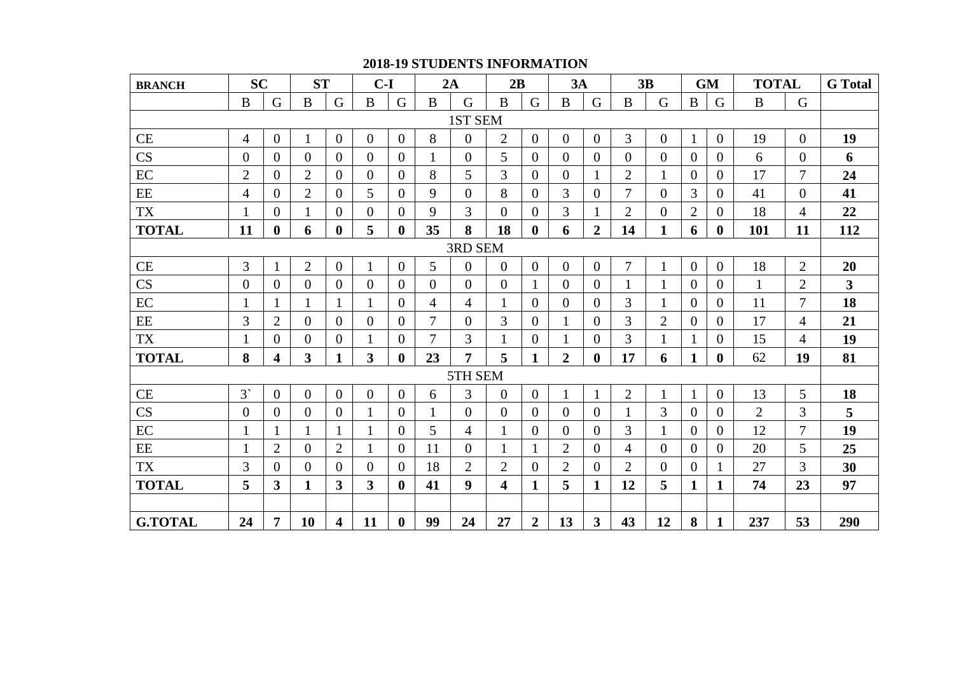| <b>2018-19 STUDENTS INFORMATION</b> |
|-------------------------------------|
|-------------------------------------|

| <b>BRANCH</b>  | <b>SC</b>      |                  | <b>ST</b>      |                | $C-I$          |                | 2A             |                  | 2B                      |                  | 3A             |                         |                | 3B             |                | <b>GM</b>      | <b>TOTAL</b>   |                | <b>G</b> Total          |
|----------------|----------------|------------------|----------------|----------------|----------------|----------------|----------------|------------------|-------------------------|------------------|----------------|-------------------------|----------------|----------------|----------------|----------------|----------------|----------------|-------------------------|
|                | $\bf{B}$       | G                | $\bf{B}$       | G              | $\bf{B}$       | G              | $\bf{B}$       | G                | $\bf{B}$                | G                | $\bf{B}$       | G                       | $\bf{B}$       | G              | $\bf{B}$       | G              | $\bf{B}$       | G              |                         |
|                |                |                  |                |                |                |                |                | 1ST SEM          |                         |                  |                |                         |                |                |                |                |                |                |                         |
| CE             | $\overline{4}$ | $\overline{0}$   |                | $\overline{0}$ | $\overline{0}$ | $\overline{0}$ | 8              | $\overline{0}$   | $\overline{2}$          | $\overline{0}$   | $\overline{0}$ | $\overline{0}$          | 3              | $\mathbf{0}$   | $\mathbf{1}$   | $\overline{0}$ | 19             | $\overline{0}$ | 19                      |
| CS             | $\overline{0}$ | $\overline{0}$   | $\overline{0}$ | $\overline{0}$ | $\overline{0}$ | $\overline{0}$ |                | $\overline{0}$   | 5                       | $\overline{0}$   | $\overline{0}$ | $\overline{0}$          | $\theta$       | $\overline{0}$ | $\theta$       | $\overline{0}$ | 6              | $\overline{0}$ | 6                       |
| EC             | $\overline{2}$ | $\overline{0}$   | $\overline{2}$ | $\overline{0}$ | $\overline{0}$ | $\theta$       | 8              | 5                | $\overline{3}$          | $\overline{0}$   | $\overline{0}$ | $\mathbf{1}$            | $\overline{2}$ | $\mathbf{1}$   | $\overline{0}$ | 0              | 17             | 7              | 24                      |
| $\rm{EE}$      | 4              | $\Omega$         | $\overline{2}$ | $\Omega$       | 5              | $\Omega$       | 9              | $\Omega$         | 8                       | $\Omega$         | 3              | $\Omega$                | $\overline{7}$ | $\Omega$       | 3              | 0              | 41             | $\Omega$       | 41                      |
| <b>TX</b>      | 1              | $\theta$         |                | $\overline{0}$ | $\overline{0}$ | $\theta$       | 9              | 3                | $\theta$                | $\overline{0}$   | 3              | 1                       | $\overline{2}$ | $\overline{0}$ | $\overline{2}$ | $\Omega$       | 18             | 4              | 22                      |
| <b>TOTAL</b>   | 11             | $\boldsymbol{0}$ | 6              | $\bf{0}$       | 5              | $\bf{0}$       | 35             | 8                | 18                      | $\bf{0}$         | 6              | $\boldsymbol{2}$        | 14             | $\mathbf{1}$   | 6              | $\bf{0}$       | 101            | 11             | 112                     |
|                |                |                  |                |                |                |                |                | 3RD SEM          |                         |                  |                |                         |                |                |                |                |                |                |                         |
| $\!$ $\!$ $\!$ | 3              |                  | $\overline{2}$ | $\mathbf{0}$   |                | $\mathbf{0}$   | 5              | $\Omega$         | $\overline{0}$          | $\overline{0}$   | $\overline{0}$ | $\overline{0}$          | 7              | $\mathbf{1}$   | $\mathbf{0}$   | $\overline{0}$ | 18             | $\overline{2}$ | 20                      |
| CS             | $\overline{0}$ | $\overline{0}$   | $\overline{0}$ | $\mathbf{0}$   | $\overline{0}$ | $\overline{0}$ | $\overline{0}$ | $\overline{0}$   | $\theta$                | $\mathbf{1}$     | $\overline{0}$ | $\overline{0}$          |                | $\mathbf{1}$   | $\overline{0}$ | $\overline{0}$ | $\mathbf{1}$   | $\overline{2}$ | $\overline{\mathbf{3}}$ |
| EC             | $\mathbf{1}$   |                  |                | 1              |                | $\overline{0}$ | $\overline{4}$ | $\overline{4}$   | $\mathbf{1}$            | $\overline{0}$   | $\theta$       | $\theta$                | 3              | $\mathbf{1}$   | $\overline{0}$ | $\overline{0}$ | 11             | $\overline{7}$ | 18                      |
| $\rm{EE}$      | 3              | $\overline{2}$   | $\overline{0}$ | $\overline{0}$ | $\overline{0}$ | $\theta$       | $\overline{7}$ | $\overline{0}$   | $\overline{3}$          | $\overline{0}$   |                | $\theta$                | 3              | $\overline{2}$ | $\overline{0}$ | 0              | 17             | 4              | 21                      |
| <b>TX</b>      | $\mathbf 1$    | $\overline{0}$   | $\Omega$       | $\Omega$       |                | $\Omega$       | 7              | $\overline{3}$   | 1                       | $\overline{0}$   |                | $\Omega$                | 3              |                | $\mathbf{1}$   | 0              | 15             | 4              | 19                      |
| <b>TOTAL</b>   | 8              | 4                | 3              | 1              | 3              | $\bf{0}$       | 23             | 7                | 5                       | $\mathbf{1}$     | $\overline{2}$ | $\bf{0}$                | 17             | 6              | $\mathbf{1}$   | 0              | 62             | 19             | 81                      |
|                |                |                  |                |                |                |                |                | 5TH SEM          |                         |                  |                |                         |                |                |                |                |                |                |                         |
| CE             | $3^{\circ}$    | $\overline{0}$   | $\mathbf{0}$   | $\overline{0}$ | $\overline{0}$ | $\overline{0}$ | 6              | 3                | $\overline{0}$          | $\overline{0}$   |                | $\overline{\mathbf{1}}$ | $\overline{2}$ | $\mathbf{1}$   | $\mathbf{1}$   | $\overline{0}$ | 13             | 5              | 18                      |
| CS             | $\overline{0}$ | $\overline{0}$   | $\overline{0}$ | $\overline{0}$ |                | $\overline{0}$ | $\mathbf{1}$   | $\Omega$         | $\overline{0}$          | $\overline{0}$   | $\theta$       | $\theta$                |                | 3              | $\overline{0}$ | 0              | $\overline{2}$ | 3              | 5                       |
| EC             | $\mathbf{1}$   |                  |                |                |                | $\overline{0}$ | 5              | 4                | 1                       | $\overline{0}$   | $\overline{0}$ | $\overline{0}$          | $\overline{3}$ |                | $\mathbf{0}$   | $\overline{0}$ | 12             | $\overline{7}$ | 19                      |
| $\rm{EE}$      | $\mathbf{1}$   | $\overline{2}$   | $\overline{0}$ | $\overline{2}$ |                | $\overline{0}$ | 11             | $\overline{0}$   | $\mathbf{1}$            |                  | $\overline{2}$ | $\theta$                | $\overline{4}$ | $\overline{0}$ | $\overline{0}$ | $\overline{0}$ | 20             | 5              | 25                      |
| <b>TX</b>      | 3              | $\overline{0}$   | $\overline{0}$ | $\overline{0}$ | $\overline{0}$ | $\overline{0}$ | 18             | $\mathfrak{2}$   | $\overline{2}$          | $\boldsymbol{0}$ | $\overline{2}$ | $\Omega$                | $\overline{2}$ | $\overline{0}$ | $\theta$       |                | 27             | 3              | 30                      |
| <b>TOTAL</b>   | 5              | 3                | $\mathbf{1}$   | $\overline{3}$ | $\overline{3}$ | $\mathbf{0}$   | 41             | $\boldsymbol{9}$ | $\overline{\mathbf{4}}$ | $\mathbf{1}$     | 5              | $\mathbf{1}$            | 12             | 5              | $\mathbf{1}$   | 1              | 74             | 23             | 97                      |
|                |                |                  |                |                |                |                |                |                  |                         |                  |                |                         |                |                |                |                |                |                |                         |
| <b>G.TOTAL</b> | 24             | $\overline{7}$   | 10             | 4              | 11             | $\mathbf{0}$   | 99             | 24               | 27                      | $\overline{2}$   | 13             | $\overline{\mathbf{3}}$ | 43             | 12             | 8              | $\mathbf{1}$   | 237            | 53             | 290                     |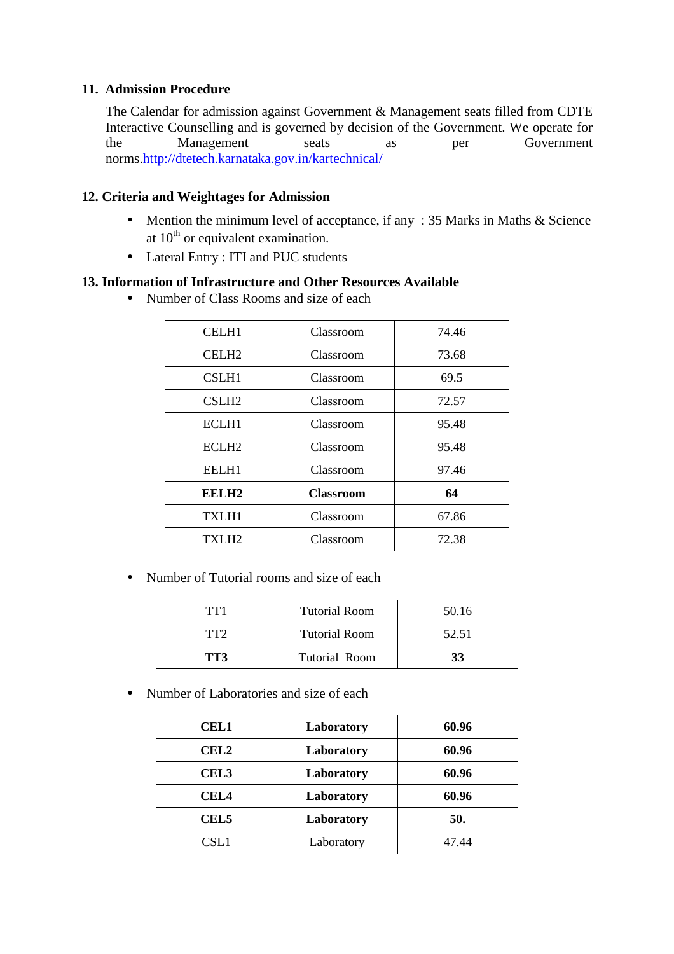### **11. Admission Procedure**

The Calendar for admission against Government & Management seats filled from CDTE Interactive Counselling and is governed by decision of the Government. We operate for the Management seats as per Government norms.http://dtetech.karnataka.gov.in/kartechnical/

### **12. Criteria and Weightages for Admission**

- Mention the minimum level of acceptance, if any : 35 Marks in Maths & Science at  $10<sup>th</sup>$  or equivalent examination.
- Lateral Entry : ITI and PUC students

### **13. Information of Infrastructure and Other Resources Available**

• Number of Class Rooms and size of each

| <b>CELH1</b>      | Classroom        | 74.46 |
|-------------------|------------------|-------|
| CELH <sub>2</sub> | Classroom        | 73.68 |
| CSLH1             | Classroom        | 69.5  |
| CSLH <sub>2</sub> | Classroom        | 72.57 |
| ECLH1             | Classroom        | 95.48 |
| ECLH <sub>2</sub> | Classroom        | 95.48 |
| EELH1             | Classroom        | 97.46 |
| EELH <sub>2</sub> | <b>Classroom</b> | 64    |
| <b>TXLH1</b>      | Classroom        | 67.86 |
| TXLH <sub>2</sub> | Classroom        | 72.38 |

• Number of Tutorial rooms and size of each

| TT <sub>1</sub> | <b>Tutorial Room</b> | 50.16 |
|-----------------|----------------------|-------|
| TT <sub>2</sub> | <b>Tutorial Room</b> | 52.51 |
| TT3             | Tutorial Room        | 33    |

• Number of Laboratories and size of each

| <b>CEL1</b>      | Laboratory | 60.96 |
|------------------|------------|-------|
| <b>CEL2</b>      | Laboratory | 60.96 |
| <b>CEL3</b>      | Laboratory | 60.96 |
| <b>CEL4</b>      | Laboratory | 60.96 |
| CEL <sub>5</sub> | Laboratory | 50.   |
| CSL1             | Laboratory | 47 44 |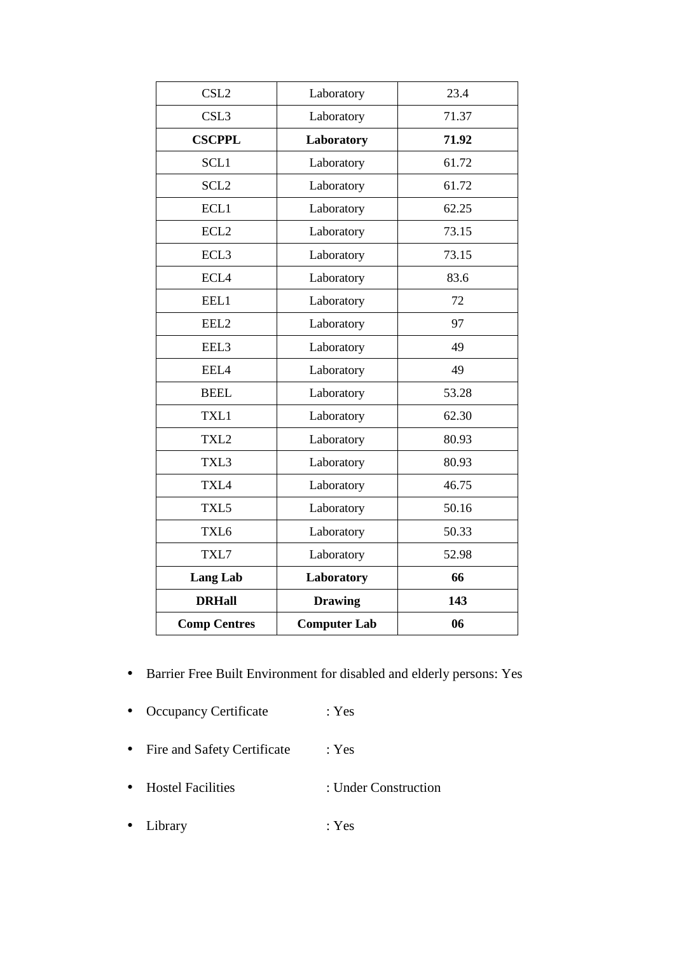| CSL <sub>2</sub>    | Laboratory          | 23.4  |
|---------------------|---------------------|-------|
| CSL <sub>3</sub>    | Laboratory          | 71.37 |
| <b>CSCPPL</b>       | Laboratory          | 71.92 |
| SCL1                | Laboratory          | 61.72 |
| SCL <sub>2</sub>    | Laboratory          | 61.72 |
| ECL1                | Laboratory          | 62.25 |
| ECL <sub>2</sub>    | Laboratory          | 73.15 |
| ECL <sub>3</sub>    | Laboratory          | 73.15 |
| ECL4                | Laboratory          | 83.6  |
| EEL1                | Laboratory          | 72    |
| EEL2                | Laboratory          | 97    |
| EEL3                | Laboratory          | 49    |
| EEL4                | Laboratory          | 49    |
| <b>BEEL</b>         | Laboratory          | 53.28 |
| TXL1                | Laboratory          | 62.30 |
| TXL2                | Laboratory          | 80.93 |
| TXL3                | Laboratory          | 80.93 |
| TXL4                | Laboratory          | 46.75 |
| TXL5                | Laboratory          | 50.16 |
| TXL <sub>6</sub>    | Laboratory          | 50.33 |
| TXL7                | Laboratory          | 52.98 |
| <b>Lang Lab</b>     | Laboratory          | 66    |
| <b>DRHall</b>       | <b>Drawing</b>      | 143   |
| <b>Comp Centres</b> | <b>Computer Lab</b> | 06    |

- Barrier Free Built Environment for disabled and elderly persons: Yes
- Occupancy Certificate : Yes
- Fire and Safety Certificate : Yes
- Hostel Facilities : Under Construction
- Library : Yes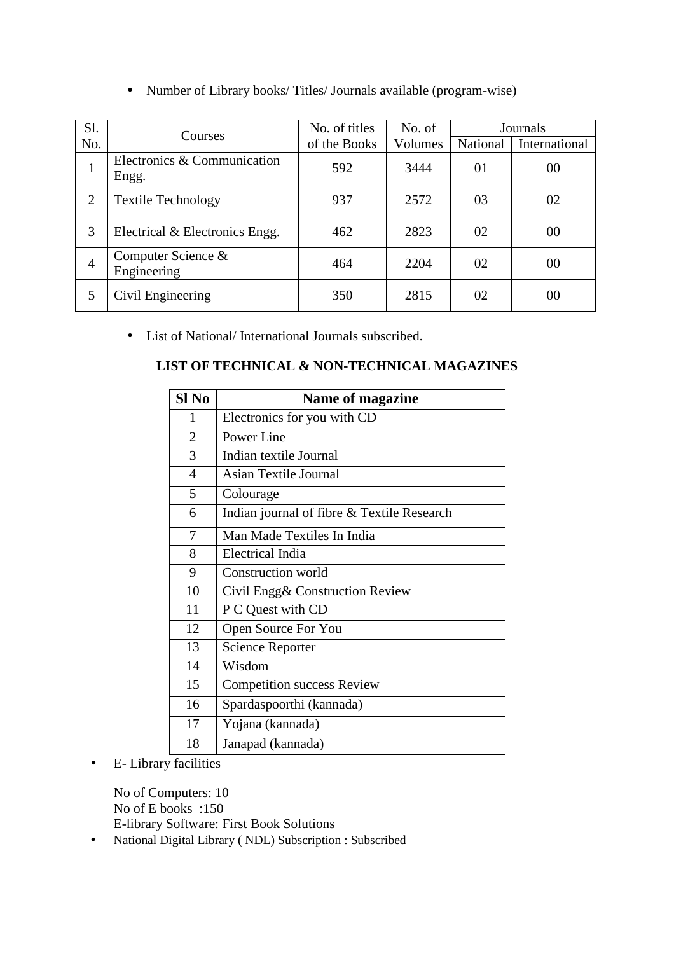| Sl. |                                      | No. of titles | No. of  |          | Journals      |
|-----|--------------------------------------|---------------|---------|----------|---------------|
| No. | Courses                              | of the Books  | Volumes | National | International |
|     | Electronics & Communication<br>Engg. | 592           | 3444    | 01       | 00            |
|     | <b>Textile Technology</b>            | 937           | 2572    | 03       | 02            |
|     |                                      |               |         |          |               |

3 Electrical & Electronics Engg. | 462 | 2823 | 02 | 00

5 Civil Engineering 250 2815 02 00

Engineering  $464 \t 464 \t 2204 \t 02 \t 00$ 

• Number of Library books/ Titles/ Journals available (program-wise)

• List of National/ International Journals subscribed.

### **LIST OF TECHNICAL & NON-TECHNICAL MAGAZINES**

| Sl <sub>No</sub> | Name of magazine                           |
|------------------|--------------------------------------------|
| 1                | Electronics for you with CD                |
| $\overline{2}$   | Power Line                                 |
| 3                | Indian textile Journal                     |
| 4                | <b>Asian Textile Journal</b>               |
| 5                | Colourage                                  |
| 6                | Indian journal of fibre & Textile Research |
| 7                | Man Made Textiles In India                 |
| 8                | <b>Electrical India</b>                    |
| 9                | <b>Construction world</b>                  |
| 10               | Civil Engg& Construction Review            |
| 11               | P C Quest with CD                          |
| 12               | Open Source For You                        |
| 13               | <b>Science Reporter</b>                    |
| 14               | Wisdom                                     |
| 15               | <b>Competition success Review</b>          |
| 16               | Spardaspoorthi (kannada)                   |
| 17               | Yojana (kannada)                           |
| 18               | Janapad (kannada)                          |

• E- Library facilities

<sup>4</sup>Computer Science &

No of Computers: 10 No of E books :150 E-library Software: First Book Solutions

• National Digital Library ( NDL) Subscription : Subscribed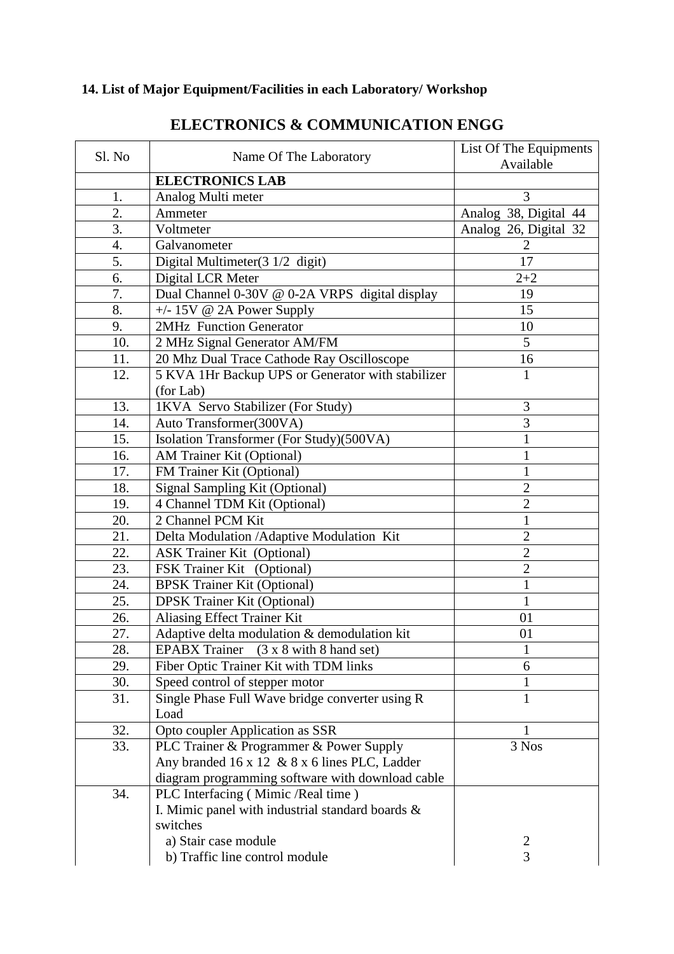# **14. List of Major Equipment/Facilities in each Laboratory/ Workshop**

| Sl. No | Name Of The Laboratory                            | List Of The Equipments<br>Available |
|--------|---------------------------------------------------|-------------------------------------|
|        | <b>ELECTRONICS LAB</b>                            |                                     |
| 1.     | Analog Multi meter                                | 3                                   |
| 2.     | Ammeter                                           | Analog 38, Digital 44               |
| 3.     | Voltmeter                                         | Analog 26, Digital 32               |
| 4.     | Galvanometer                                      | $\overline{2}$                      |
| 5.     | Digital Multimeter $(3\ 1/2\$ digit $)$           | 17                                  |
| 6.     | Digital LCR Meter                                 | $2 + 2$                             |
| 7.     | Dual Channel 0-30V @ 0-2A VRPS digital display    | 19                                  |
| 8.     | $+/- 15V$ @ 2A Power Supply                       | 15                                  |
| 9.     | 2MHz Function Generator                           | 10                                  |
| 10.    | 2 MHz Signal Generator AM/FM                      | 5                                   |
| 11.    | 20 Mhz Dual Trace Cathode Ray Oscilloscope        | 16                                  |
| 12.    | 5 KVA 1Hr Backup UPS or Generator with stabilizer | $\mathbf{1}$                        |
|        | (for Lab)                                         |                                     |
| 13.    | 1KVA Servo Stabilizer (For Study)                 | 3                                   |
| 14.    | Auto Transformer(300VA)                           | 3                                   |
| 15.    | Isolation Transformer (For Study)(500VA)          | $\mathbf{1}$                        |
| 16.    | AM Trainer Kit (Optional)                         | 1                                   |
| 17.    | FM Trainer Kit (Optional)                         | $\mathbf{1}$                        |
| 18.    | Signal Sampling Kit (Optional)                    | $\overline{c}$                      |
| 19.    | 4 Channel TDM Kit (Optional)                      | $\overline{2}$                      |
| 20.    | 2 Channel PCM Kit                                 | $\mathbf{1}$                        |
| 21.    | Delta Modulation / Adaptive Modulation Kit        | $\overline{2}$                      |
| 22.    | <b>ASK Trainer Kit (Optional)</b>                 | $\overline{c}$                      |
| 23.    | FSK Trainer Kit (Optional)                        | $\overline{c}$                      |
| 24.    | <b>BPSK Trainer Kit (Optional)</b>                | $\mathbf{1}$                        |
| 25.    | <b>DPSK Trainer Kit (Optional)</b>                | $\mathbf{1}$                        |
| 26.    | Aliasing Effect Trainer Kit                       | 01                                  |
| 27.    | Adaptive delta modulation & demodulation kit      | 01                                  |
| 28.    | EPABX Trainer (3 x 8 with 8 hand set)             | 1                                   |
| 29.    | Fiber Optic Trainer Kit with TDM links            | 6                                   |
| 30.    | Speed control of stepper motor                    | 1                                   |
| 31.    | Single Phase Full Wave bridge converter using R   | $\mathbf{1}$                        |
|        | Load                                              |                                     |
| 32.    | Opto coupler Application as SSR                   | 1                                   |
| 33.    | PLC Trainer & Programmer & Power Supply           | 3 Nos                               |
|        | Any branded 16 x 12 & 8 x 6 lines PLC, Ladder     |                                     |
|        | diagram programming software with download cable  |                                     |
| 34.    | PLC Interfacing (Mimic /Real time)                |                                     |
|        | I. Mimic panel with industrial standard boards &  |                                     |
|        | switches                                          |                                     |
|        | a) Stair case module                              | 2                                   |
|        | b) Traffic line control module                    | 3                                   |

# **ELECTRONICS & COMMUNICATION ENGG**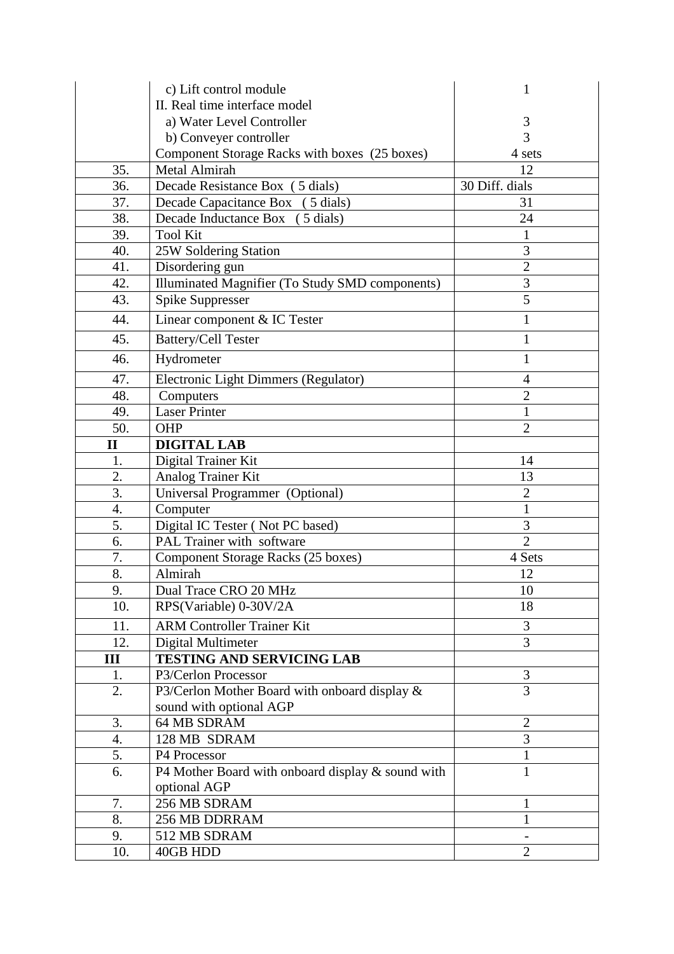|                  | c) Lift control module                                 | 1              |
|------------------|--------------------------------------------------------|----------------|
|                  | II. Real time interface model                          |                |
|                  | a) Water Level Controller                              | 3              |
|                  | b) Conveyer controller                                 | 3              |
|                  | Component Storage Racks with boxes (25 boxes)          | 4 sets         |
| 35.              | <b>Metal Almirah</b>                                   | 12             |
| 36.              | Decade Resistance Box (5 dials)                        | 30 Diff. dials |
| 37.              | Decade Capacitance Box (5 dials)                       | 31             |
| 38.              | Decade Inductance Box<br>$(5$ dials)                   | 24             |
| 39.              | <b>Tool Kit</b>                                        | $\mathbf{1}$   |
| 40.              | 25W Soldering Station                                  | 3              |
| 41.              | Disordering gun                                        | $\overline{2}$ |
| 42.              | <b>Illuminated Magnifier (To Study SMD components)</b> | 3              |
| 43.              | <b>Spike Suppresser</b>                                | 5              |
| 44.              | Linear component & IC Tester                           | $\mathbf{1}$   |
| 45.              | <b>Battery/Cell Tester</b>                             | $\mathbf{1}$   |
| 46.              | Hydrometer                                             | $\mathbf{1}$   |
| 47.              | Electronic Light Dimmers (Regulator)                   | $\overline{4}$ |
| 48.              | Computers                                              | $\overline{2}$ |
| 49.              | <b>Laser Printer</b>                                   | $\mathbf{1}$   |
| 50.              | OHP                                                    | $\overline{2}$ |
| $\mathbf{I}$     | <b>DIGITAL LAB</b>                                     |                |
| 1.               | Digital Trainer Kit                                    | 14             |
| 2.               | Analog Trainer Kit                                     | 13             |
| 3.               | Universal Programmer (Optional)                        | $\overline{2}$ |
| $\overline{4}$ . | Computer                                               | $\mathbf{1}$   |
| 5.               | Digital IC Tester (Not PC based)                       | 3              |
| 6.               | PAL Trainer with software                              | $\overline{2}$ |
| 7.               | Component Storage Racks (25 boxes)                     | 4 Sets         |
| 8.               | Almirah                                                | 12             |
| 9.               | Dual Trace CRO 20 MHz                                  | $10\,$         |
| 10.              | RPS(Variable) 0-30V/2A                                 | 18             |
| 11.              | <b>ARM Controller Trainer Kit</b>                      | 3              |
| 12.              | Digital Multimeter                                     | 3              |
| Ш                | <b>TESTING AND SERVICING LAB</b>                       |                |
| 1.               | P3/Cerlon Processor                                    | 3              |
| 2.               | P3/Cerlon Mother Board with onboard display &          | 3              |
|                  | sound with optional AGP                                |                |
| 3.               | 64 MB SDRAM                                            | $\overline{2}$ |
| 4.               | 128 MB SDRAM                                           | 3              |
| 5.               | P4 Processor                                           | 1              |
| 6.               | P4 Mother Board with onboard display & sound with      | $\mathbf{1}$   |
|                  | optional AGP                                           |                |
| 7.               | 256 MB SDRAM                                           | 1              |
| 8.               | 256 MB DDRRAM                                          | $\mathbf{1}$   |
| 9.               | 512 MB SDRAM                                           |                |
| 10.              | 40GB HDD                                               | $\overline{2}$ |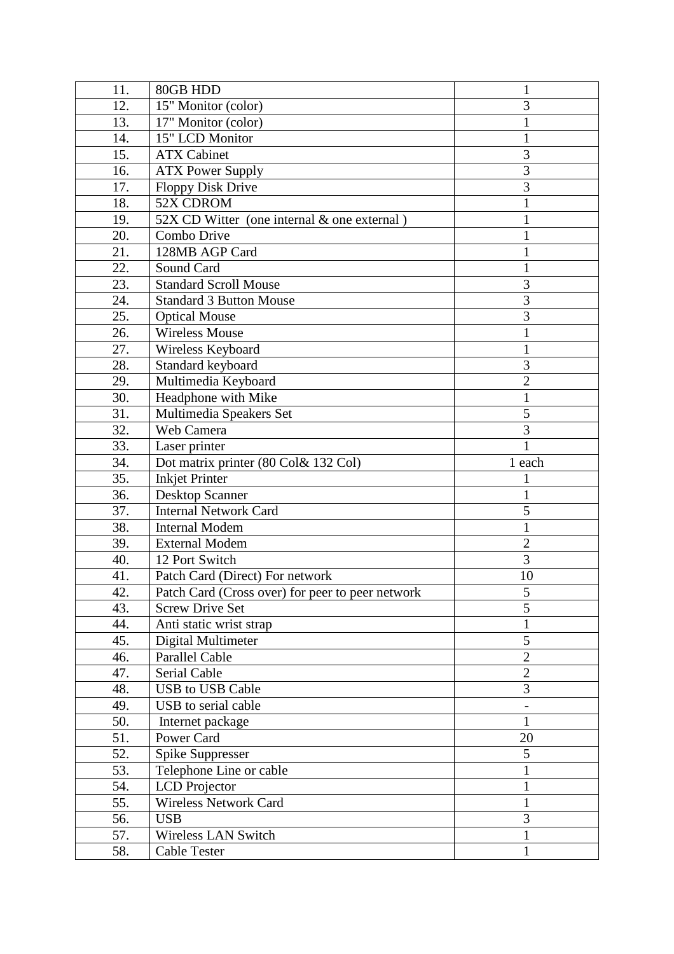| 11. | 80GB HDD                                         | $\mathbf{1}$   |
|-----|--------------------------------------------------|----------------|
| 12. | 15" Monitor (color)                              | 3              |
| 13. | 17" Monitor (color)                              | 1              |
| 14. | 15" LCD Monitor                                  | 1              |
| 15. | <b>ATX Cabinet</b>                               | 3              |
| 16. | <b>ATX Power Supply</b>                          | 3              |
| 17. | <b>Floppy Disk Drive</b>                         | 3              |
| 18. | 52X CDROM                                        | 1              |
| 19. | 52X CD Witter (one internal & one external)      | 1              |
| 20. | Combo Drive                                      |                |
| 21. | 128MB AGP Card                                   | 1              |
| 22. | Sound Card                                       | 1              |
| 23. | <b>Standard Scroll Mouse</b>                     | 3              |
| 24. | <b>Standard 3 Button Mouse</b>                   | 3              |
| 25. | <b>Optical Mouse</b>                             | 3              |
| 26. | <b>Wireless Mouse</b>                            | $\mathbf{1}$   |
| 27. | Wireless Keyboard                                | 1              |
| 28. | Standard keyboard                                | 3              |
| 29. | Multimedia Keyboard                              | $\overline{2}$ |
| 30. | Headphone with Mike                              | $\mathbf{1}$   |
| 31. | Multimedia Speakers Set                          | 5              |
| 32. | Web Camera                                       | 3              |
| 33. | Laser printer                                    | 1              |
| 34. | Dot matrix printer (80 Col& 132 Col)             | 1 each         |
| 35. | <b>Inkjet Printer</b>                            |                |
| 36. | Desktop Scanner                                  | 1              |
| 37. | <b>Internal Network Card</b>                     | 5              |
| 38. | <b>Internal Modem</b>                            | 1              |
| 39. | <b>External Modem</b>                            | $\overline{2}$ |
| 40. | 12 Port Switch                                   | 3              |
| 41. | Patch Card (Direct) For network                  | 10             |
| 42. | Patch Card (Cross over) for peer to peer network | 5              |
| 43. | <b>Screw Drive Set</b>                           | 5              |
| 44. | Anti static wrist strap                          | $\mathbf{1}$   |
| 45. | Digital Multimeter                               | 5              |
| 46. | <b>Parallel Cable</b>                            | $\overline{2}$ |
| 47. | <b>Serial Cable</b>                              | $\overline{2}$ |
| 48. | <b>USB</b> to USB Cable                          | 3              |
| 49. | USB to serial cable                              |                |
| 50. | Internet package                                 | $\mathbf{1}$   |
| 51. | Power Card                                       | 20             |
| 52. | Spike Suppresser                                 | 5              |
| 53. | Telephone Line or cable                          | $\mathbf{1}$   |
| 54. | <b>LCD</b> Projector                             | $\mathbf{1}$   |
| 55. | <b>Wireless Network Card</b>                     | $\mathbf{1}$   |
| 56. | <b>USB</b>                                       | 3              |
| 57. | <b>Wireless LAN Switch</b>                       | 1              |
| 58. | <b>Cable Tester</b>                              | $\mathbf{1}$   |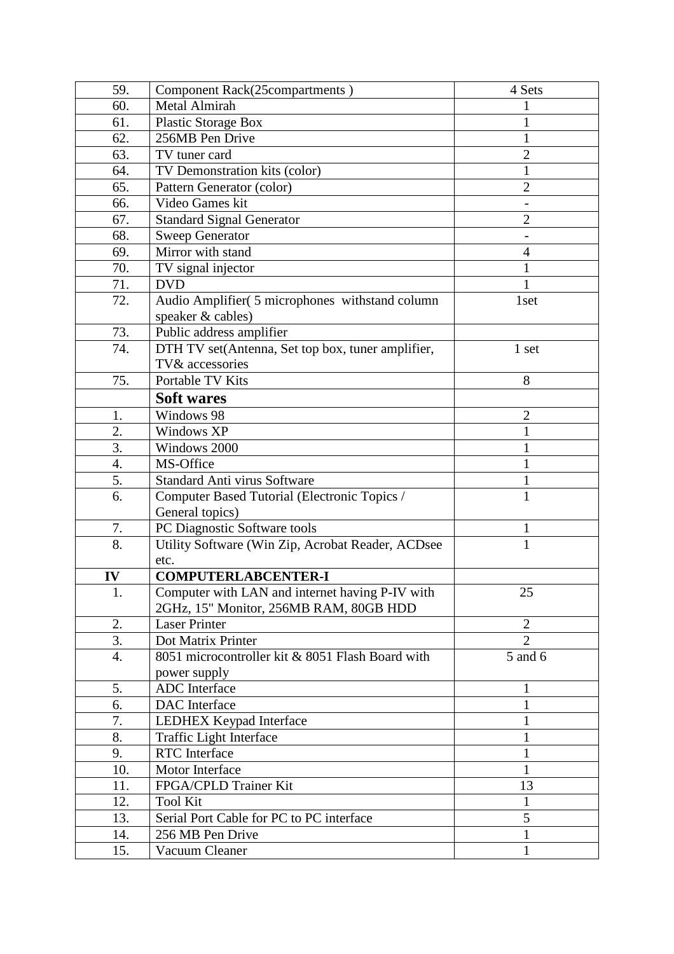| 59.              | Component Rack(25compartments)                    | 4 Sets         |
|------------------|---------------------------------------------------|----------------|
| 60.              | <b>Metal Almirah</b>                              |                |
| 61.              | Plastic Storage Box                               | 1              |
| 62.              | 256MB Pen Drive                                   | 1              |
| 63.              | TV tuner card                                     | $\overline{2}$ |
| 64.              | TV Demonstration kits (color)                     | $\mathbf{1}$   |
| 65.              | Pattern Generator (color)                         | $\overline{2}$ |
| 66.              | Video Games kit                                   |                |
| 67.              | <b>Standard Signal Generator</b>                  | $\overline{2}$ |
| 68.              | <b>Sweep Generator</b>                            |                |
| 69.              | Mirror with stand                                 | 4              |
| 70.              | TV signal injector                                | 1              |
| 71.              | <b>DVD</b>                                        | 1              |
| 72.              | Audio Amplifier( 5 microphones withstand column   | 1set           |
|                  | speaker & cables)                                 |                |
| 73.              | Public address amplifier                          |                |
| 74.              | DTH TV set(Antenna, Set top box, tuner amplifier, | 1 set          |
|                  | TV& accessories                                   |                |
| 75.              | Portable TV Kits                                  | 8              |
|                  | <b>Soft wares</b>                                 |                |
| 1.               | Windows 98                                        | $\overline{2}$ |
| 2.               | Windows XP                                        | 1              |
| 3.               | Windows 2000                                      | 1              |
| $\overline{4}$ . | MS-Office                                         | $\mathbf{1}$   |
| 5.               | Standard Anti virus Software                      | 1              |
| 6.               | Computer Based Tutorial (Electronic Topics /      | $\mathbf{1}$   |
|                  | General topics)                                   |                |
| 7.               | PC Diagnostic Software tools                      | 1              |
| 8.               | Utility Software (Win Zip, Acrobat Reader, ACDsee | $\mathbf{1}$   |
|                  | etc.                                              |                |
| IV               | <b>COMPUTERLABCENTER-I</b>                        |                |
| 1.               | Computer with LAN and internet having P-IV with   | 25             |
|                  | 2GHz, 15" Monitor, 256MB RAM, 80GB HDD            |                |
| 2.               | <b>Laser Printer</b>                              | $\overline{2}$ |
| 3.               | Dot Matrix Printer                                | $\overline{2}$ |
| 4.               | 8051 microcontroller kit & 8051 Flash Board with  | 5 and 6        |
|                  | power supply                                      |                |
| 5.               | ADC Interface                                     | 1              |
| 6.               | DAC Interface                                     | 1              |
| 7.               | <b>LEDHEX Keypad Interface</b>                    | $\mathbf{1}$   |
| 8.               | Traffic Light Interface                           | 1              |
| 9.               | <b>RTC</b> Interface                              | 1              |
| 10.              | Motor Interface                                   | $\mathbf{1}$   |
| 11.              | FPGA/CPLD Trainer Kit                             | 13             |
| 12.              | <b>Tool Kit</b>                                   | $\mathbf{1}$   |
| 13.              | Serial Port Cable for PC to PC interface          | 5              |
| 14.              | 256 MB Pen Drive                                  | $\mathbf{1}$   |
|                  | Vacuum Cleaner                                    | $\mathbf{1}$   |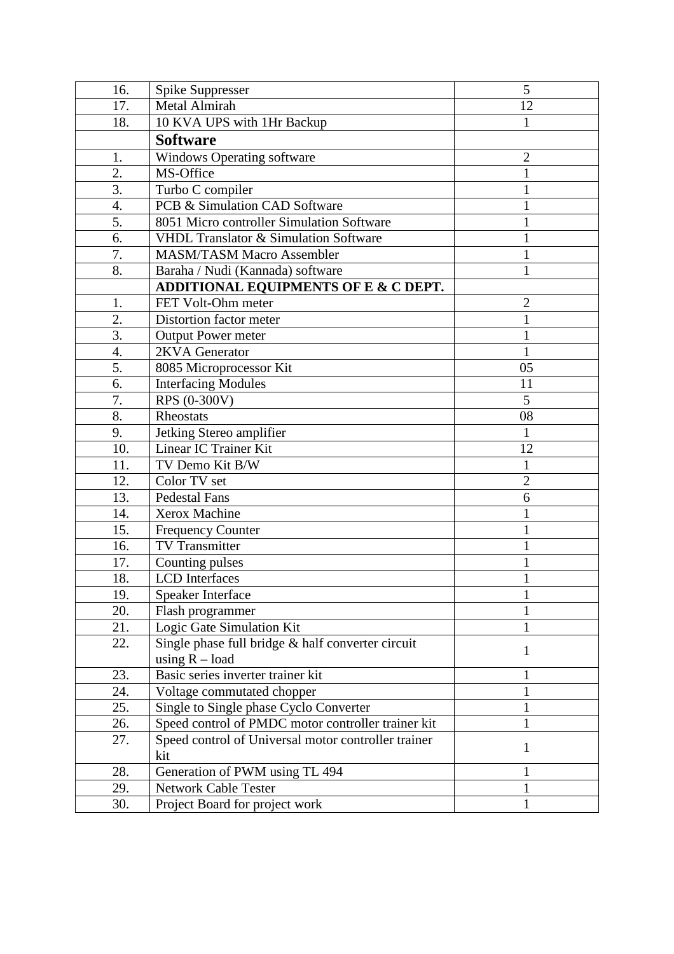| 16.              | Spike Suppresser                                    | 5              |
|------------------|-----------------------------------------------------|----------------|
| 17.              | Metal Almirah                                       | 12             |
| 18.              | 10 KVA UPS with 1Hr Backup                          | $\mathbf{1}$   |
|                  | <b>Software</b>                                     |                |
| 1.               | Windows Operating software                          | $\overline{2}$ |
| 2.               | MS-Office                                           | 1              |
| $\overline{3}$ . | Turbo C compiler                                    | 1              |
| 4.               | PCB & Simulation CAD Software                       | 1              |
| 5.               | 8051 Micro controller Simulation Software           | 1              |
| 6.               | VHDL Translator & Simulation Software               | 1              |
| 7.               | <b>MASM/TASM Macro Assembler</b>                    | 1              |
| 8.               | Baraha / Nudi (Kannada) software                    | 1              |
|                  | ADDITIONAL EQUIPMENTS OF E & C DEPT.                |                |
| 1.               | FET Volt-Ohm meter                                  | $\overline{2}$ |
| $\overline{2}$ . | Distortion factor meter                             | 1              |
| 3.               | <b>Output Power meter</b>                           | 1              |
| 4.               | 2KVA Generator                                      | $\mathbf{1}$   |
| $\overline{5}$ . | 8085 Microprocessor Kit                             | 05             |
| 6.               | <b>Interfacing Modules</b>                          | 11             |
| 7.               | RPS (0-300V)                                        | 5              |
| 8.               | Rheostats                                           | 08             |
| 9.               | Jetking Stereo amplifier                            | $\mathbf{1}$   |
| 10.              | Linear IC Trainer Kit                               | 12             |
| 11.              | TV Demo Kit B/W                                     | $\mathbf{1}$   |
| 12.              | Color TV set                                        | $\overline{2}$ |
| 13.              | <b>Pedestal Fans</b>                                | 6              |
| 14.              | Xerox Machine                                       | 1              |
| 15.              | <b>Frequency Counter</b>                            | 1              |
| 16.              | <b>TV</b> Transmitter                               | $\mathbf{1}$   |
| 17.              | Counting pulses                                     | $\mathbf{1}$   |
| 18.              | <b>LCD</b> Interfaces                               | 1              |
| 19.              | Speaker Interface                                   |                |
| 20.              | Flash programmer                                    | 1              |
| 21.              | Logic Gate Simulation Kit                           | 1              |
| 22.              | Single phase full bridge & half converter circuit   | $\mathbf{1}$   |
|                  | using $R - load$                                    |                |
| 23.              | Basic series inverter trainer kit                   | 1              |
| 24.              | Voltage commutated chopper                          | $\mathbf 1$    |
| 25.              | Single to Single phase Cyclo Converter              | $\mathbf{1}$   |
| 26.              | Speed control of PMDC motor controller trainer kit  | 1              |
| 27.              | Speed control of Universal motor controller trainer | 1              |
|                  | kit                                                 |                |
| 28.              | Generation of PWM using TL 494                      | 1              |
| 29.              | <b>Network Cable Tester</b>                         | 1              |
| 30.              | Project Board for project work                      | 1              |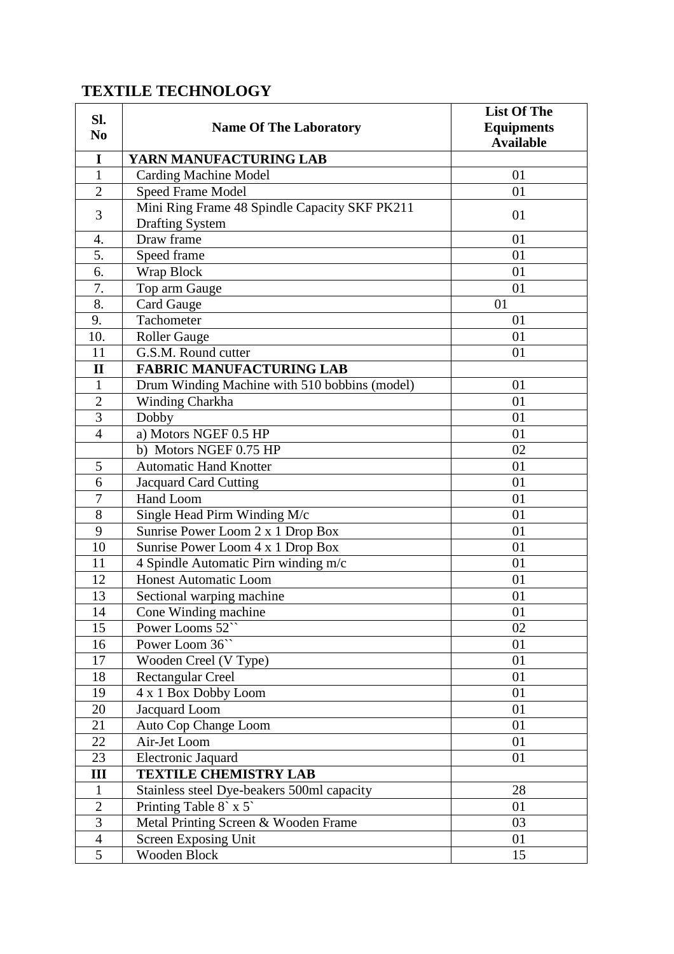# **TEXTILE TECHNOLOGY**

| SI.<br>N <sub>0</sub> | <b>Name Of The Laboratory</b>                                           | <b>List Of The</b><br><b>Equipments</b><br><b>Available</b> |
|-----------------------|-------------------------------------------------------------------------|-------------------------------------------------------------|
| I                     | YARN MANUFACTURING LAB                                                  |                                                             |
| $\mathbf{1}$          | <b>Carding Machine Model</b>                                            | 01                                                          |
| $\overline{2}$        | <b>Speed Frame Model</b>                                                | 01                                                          |
| 3                     | Mini Ring Frame 48 Spindle Capacity SKF PK211<br><b>Drafting System</b> | 01                                                          |
| 4.                    | Draw frame                                                              | 01                                                          |
| 5.                    | Speed frame                                                             | 01                                                          |
| 6.                    | Wrap Block                                                              | 01                                                          |
| 7.                    | Top arm Gauge                                                           | 01                                                          |
| 8.                    | Card Gauge                                                              | 01                                                          |
| 9.                    | Tachometer                                                              | 01                                                          |
| $\overline{10}$ .     | <b>Roller Gauge</b>                                                     | 01                                                          |
| 11                    | G.S.M. Round cutter                                                     | 01                                                          |
| $\mathbf{I}$          | <b>FABRIC MANUFACTURING LAB</b>                                         |                                                             |
| $\mathbf{1}$          | Drum Winding Machine with 510 bobbins (model)                           | 01                                                          |
| $\overline{2}$        | Winding Charkha                                                         | 01                                                          |
| $\overline{3}$        | Dobby                                                                   | 01                                                          |
| $\overline{4}$        | a) Motors NGEF 0.5 HP                                                   | 01                                                          |
|                       | b) Motors NGEF 0.75 HP                                                  | 02                                                          |
| 5                     | <b>Automatic Hand Knotter</b>                                           | 01                                                          |
| 6                     | Jacquard Card Cutting                                                   | 01                                                          |
| 7                     | Hand Loom                                                               | 01                                                          |
| 8                     | Single Head Pirm Winding M/c                                            | 01                                                          |
| 9                     | Sunrise Power Loom 2 x 1 Drop Box                                       | 01                                                          |
| 10                    | Sunrise Power Loom 4 x 1 Drop Box                                       | 01                                                          |
| 11                    | 4 Spindle Automatic Pirn winding m/c                                    | 01                                                          |
| 12                    | <b>Honest Automatic Loom</b>                                            | 01                                                          |
| 13                    | Sectional warping machine                                               | 01                                                          |
| 14                    | Cone Winding machine                                                    | 01                                                          |
| 15                    | Power Looms 52"                                                         | 02                                                          |
| 16                    | Power Loom 36"                                                          | 01                                                          |
| 17                    | Wooden Creel (V Type)                                                   | 01                                                          |
| 18                    | <b>Rectangular Creel</b>                                                | 01                                                          |
| 19                    | 4 x 1 Box Dobby Loom                                                    | 01                                                          |
| 20                    | <b>Jacquard</b> Loom                                                    | 01                                                          |
| 21                    | Auto Cop Change Loom                                                    | 01                                                          |
| 22                    | Air-Jet Loom                                                            | 01                                                          |
| 23                    | <b>Electronic Jaquard</b>                                               | 01                                                          |
| Ш                     | <b>TEXTILE CHEMISTRY LAB</b>                                            |                                                             |
| $\mathbf{1}$          | Stainless steel Dye-beakers 500ml capacity                              | 28                                                          |
| $\sqrt{2}$            | Printing Table 8` x 5`                                                  | 01                                                          |
| $\overline{3}$        | Metal Printing Screen & Wooden Frame                                    | 03                                                          |
| $\overline{4}$        | Screen Exposing Unit                                                    | 01                                                          |
| 5                     | Wooden Block                                                            | 15                                                          |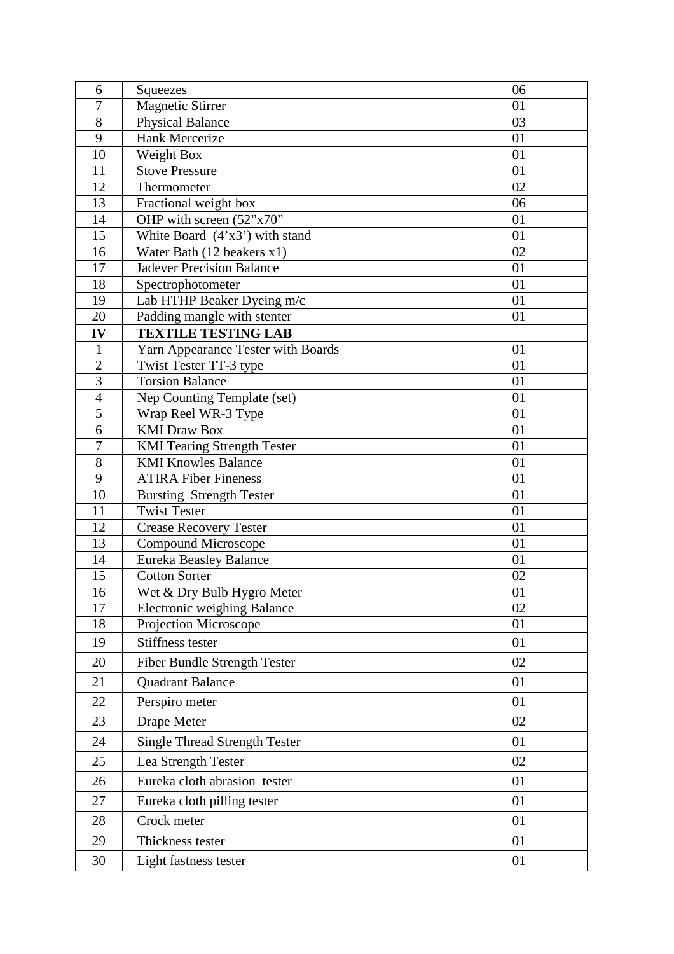| 6                                | Squeezes                                         | 06       |
|----------------------------------|--------------------------------------------------|----------|
| $\overline{7}$                   | Magnetic Stirrer                                 | 01       |
| 8                                | Physical Balance                                 | 03       |
| 9                                | <b>Hank Mercerize</b>                            | 01       |
| 10                               | Weight Box                                       | 01       |
| 11                               | <b>Stove Pressure</b>                            | 01       |
| 12                               | Thermometer                                      | 02       |
| 13                               | Fractional weight box                            | 06       |
| 14                               | OHP with screen (52"x70"                         | 01       |
| 15                               | White Board $(4'x3')$ with stand                 | 01       |
| 16                               | Water Bath (12 beakers x1)                       | 02       |
| 17                               | <b>Jadever Precision Balance</b>                 | 01       |
| 18                               | Spectrophotometer                                | 01       |
| 19                               | Lab HTHP Beaker Dyeing m/c                       | 01       |
| 20                               | Padding mangle with stenter                      | 01       |
| IV                               | <b>TEXTILE TESTING LAB</b>                       |          |
| 1                                | Yarn Appearance Tester with Boards               | 01<br>01 |
| $\overline{2}$<br>$\overline{3}$ | Twist Tester TT-3 type<br><b>Torsion Balance</b> | 01       |
| $\overline{4}$                   | Nep Counting Template (set)                      | 01       |
| 5                                | Wrap Reel WR-3 Type                              | 01       |
| 6                                | <b>KMI</b> Draw Box                              | 01       |
| $\overline{7}$                   | <b>KMI Tearing Strength Tester</b>               | 01       |
| 8                                | <b>KMI Knowles Balance</b>                       | 01       |
| 9                                | <b>ATIRA Fiber Fineness</b>                      | 01       |
| 10                               | <b>Bursting Strength Tester</b>                  | 01       |
| 11                               | <b>Twist Tester</b>                              | 01       |
| 12                               | <b>Crease Recovery Tester</b>                    | 01       |
| 13                               | Compound Microscope                              | 01       |
| 14                               | Eureka Beasley Balance                           | 01       |
| 15                               | <b>Cotton Sorter</b>                             | 02       |
| 16                               | Wet & Dry Bulb Hygro Meter                       | 01       |
| 17                               | <b>Electronic weighing Balance</b>               | 02       |
| 18                               | Projection Microscope                            | 01       |
| 19                               | Stiffness tester                                 | 01       |
| 20                               | Fiber Bundle Strength Tester                     | 02       |
| 21                               | Quadrant Balance                                 | 01       |
| 22                               | Perspiro meter                                   | 01       |
| 23                               | Drape Meter                                      | 02       |
| 24                               | <b>Single Thread Strength Tester</b>             | 01       |
| 25                               | Lea Strength Tester                              | 02       |
| 26                               | Eureka cloth abrasion tester                     | 01       |
| 27                               | Eureka cloth pilling tester                      | 01       |
| 28                               | Crock meter                                      | 01       |
| 29                               | Thickness tester                                 | 01       |
| 30                               | Light fastness tester                            | 01       |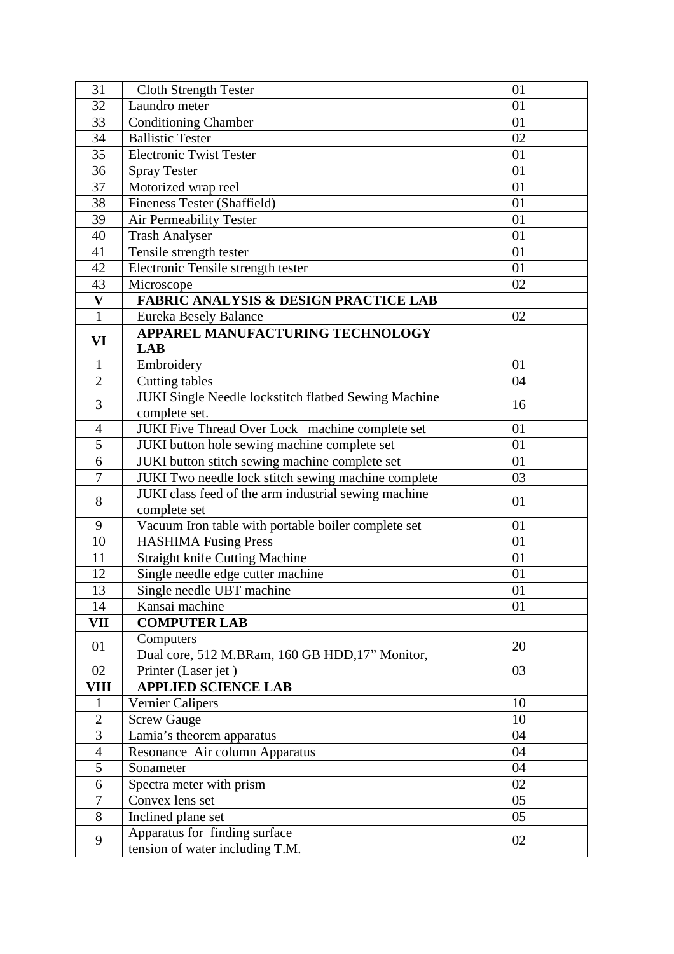| 31                        | <b>Cloth Strength Tester</b>                                               | 01       |
|---------------------------|----------------------------------------------------------------------------|----------|
| 32                        | Laundro meter                                                              | 01       |
| 33                        | <b>Conditioning Chamber</b>                                                | 01       |
| 34                        | <b>Ballistic Tester</b>                                                    | 02       |
| 35                        | <b>Electronic Twist Tester</b>                                             | 01       |
| 36                        | <b>Spray Tester</b>                                                        | 01       |
| 37                        | Motorized wrap reel                                                        | 01       |
| 38                        | Fineness Tester (Shaffield)                                                | 01       |
| 39                        | <b>Air Permeability Tester</b>                                             | 01       |
| 40                        | <b>Trash Analyser</b>                                                      | 01       |
| 41                        | Tensile strength tester                                                    | 01       |
| 42                        | Electronic Tensile strength tester                                         | 01       |
| 43                        | Microscope                                                                 | 02       |
| $\boldsymbol{\mathrm{V}}$ | <b>FABRIC ANALYSIS &amp; DESIGN PRACTICE LAB</b>                           |          |
| $\mathbf{1}$              | Eureka Besely Balance                                                      | 02       |
| VI                        | APPAREL MANUFACTURING TECHNOLOGY                                           |          |
|                           | <b>LAB</b>                                                                 |          |
| 1                         | Embroidery                                                                 | 01       |
| $\overline{2}$            | <b>Cutting tables</b>                                                      | 04       |
| 3                         | JUKI Single Needle lockstitch flatbed Sewing Machine                       | 16       |
|                           | complete set.                                                              |          |
| $\overline{4}$            | JUKI Five Thread Over Lock machine complete set                            | 01       |
| 5                         | JUKI button hole sewing machine complete set                               | 01       |
| 6                         | JUKI button stitch sewing machine complete set                             | 01       |
| $\overline{7}$            | JUKI Two needle lock stitch sewing machine complete                        | 03       |
| 8                         | JUKI class feed of the arm industrial sewing machine                       | 01       |
|                           | complete set                                                               |          |
| 9<br>10                   | Vacuum Iron table with portable boiler complete set                        | 01<br>01 |
| 11                        | <b>HASHIMA Fusing Press</b>                                                | 01       |
| 12                        | <b>Straight knife Cutting Machine</b><br>Single needle edge cutter machine | 01       |
| 13                        |                                                                            |          |
| 14                        | Single needle UBT machine<br>Kansai machine                                | 01<br>01 |
| VII                       | <b>COMPUTER LAB</b>                                                        |          |
|                           | Computers                                                                  |          |
| 01                        | Dual core, 512 M.BRam, 160 GB HDD, 17" Monitor,                            | 20       |
| 02                        | Printer (Laser jet)                                                        | 03       |
| <b>VIII</b>               | <b>APPLIED SCIENCE LAB</b>                                                 |          |
| 1                         | <b>Vernier Calipers</b>                                                    | 10       |
| $\mathbf{2}$              | <b>Screw Gauge</b>                                                         | 10       |
| $\overline{3}$            | Lamia's theorem apparatus                                                  | 04       |
| $\overline{4}$            | Resonance Air column Apparatus                                             | 04       |
| 5                         | Sonameter                                                                  | 04       |
| 6                         | Spectra meter with prism                                                   | 02       |
| $\tau$                    | Convex lens set                                                            | 05       |
| 8                         | Inclined plane set                                                         | 05       |
|                           | Apparatus for finding surface                                              |          |
| 9                         | tension of water including T.M.                                            | 02       |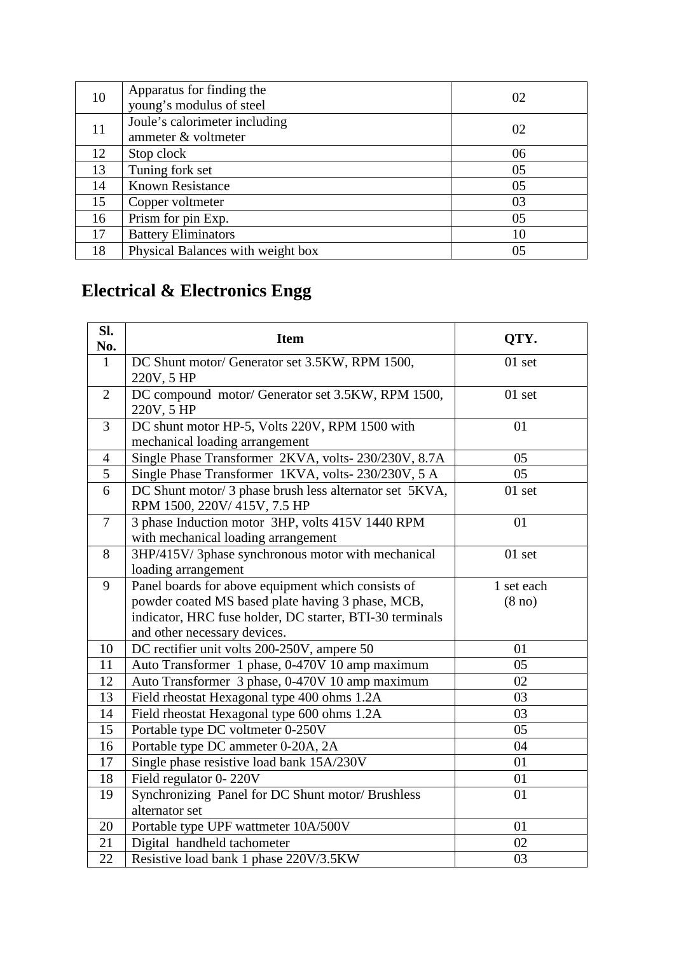| 10 | Apparatus for finding the         | 02 |
|----|-----------------------------------|----|
|    | young's modulus of steel          |    |
| 11 | Joule's calorimeter including     | 02 |
|    | ammeter & voltmeter               |    |
| 12 | Stop clock                        | 06 |
| 13 | Tuning fork set                   | 05 |
| 14 | <b>Known Resistance</b>           | 05 |
| 15 | Copper voltmeter                  | 03 |
| 16 | Prism for pin Exp.                | 05 |
| 17 | <b>Battery Eliminators</b>        | 10 |
| 18 | Physical Balances with weight box | 05 |

# **Electrical & Electronics Engg**

| SI.<br>No.     | <b>Item</b>                                                                             | QTY.               |
|----------------|-----------------------------------------------------------------------------------------|--------------------|
| 1              | DC Shunt motor/ Generator set 3.5KW, RPM 1500,<br>220V, 5 HP                            | $01$ set           |
| 2              | DC compound motor/ Generator set 3.5KW, RPM 1500,<br>220V, 5 HP                         | 01 set             |
| 3              | DC shunt motor HP-5, Volts 220V, RPM 1500 with<br>mechanical loading arrangement        | 01                 |
| $\overline{4}$ | Single Phase Transformer 2KVA, volts-230/230V, 8.7A                                     | 05                 |
| 5              | Single Phase Transformer 1KVA, volts-230/230V, 5 A                                      | 05                 |
| 6              | DC Shunt motor/ 3 phase brush less alternator set 5KVA,<br>RPM 1500, 220V/415V, 7.5 HP  | $01$ set           |
| $\tau$         | 3 phase Induction motor 3HP, volts 415V 1440 RPM<br>with mechanical loading arrangement | 01                 |
| 8              | 3HP/415V/3phase synchronous motor with mechanical<br>loading arrangement                | 01 set             |
| 9              | Panel boards for above equipment which consists of                                      | 1 set each         |
|                | powder coated MS based plate having 3 phase, MCB,                                       | (8 <sub>no</sub> ) |
|                | indicator, HRC fuse holder, DC starter, BTI-30 terminals                                |                    |
|                | and other necessary devices.                                                            |                    |
| 10             | DC rectifier unit volts 200-250V, ampere 50                                             | 01                 |
| 11             | Auto Transformer 1 phase, 0-470V 10 amp maximum                                         | 05                 |
| 12             | Auto Transformer 3 phase, 0-470V 10 amp maximum                                         | 02                 |
| 13             | Field rheostat Hexagonal type 400 ohms 1.2A                                             | 03                 |
| 14             | Field rheostat Hexagonal type 600 ohms 1.2A                                             | 03                 |
| 15             | Portable type DC voltmeter 0-250V                                                       | 05                 |
| 16             | Portable type DC ammeter 0-20A, 2A                                                      | 04                 |
| 17             | Single phase resistive load bank 15A/230V                                               | 01                 |
| 18             | Field regulator 0-220V                                                                  | 01                 |
| 19             | Synchronizing Panel for DC Shunt motor/ Brushless<br>alternator set                     | 01                 |
| 20             | Portable type UPF wattmeter 10A/500V                                                    | 01                 |
| 21             | Digital handheld tachometer                                                             | 02                 |
| 22             | Resistive load bank 1 phase 220V/3.5KW                                                  | 03                 |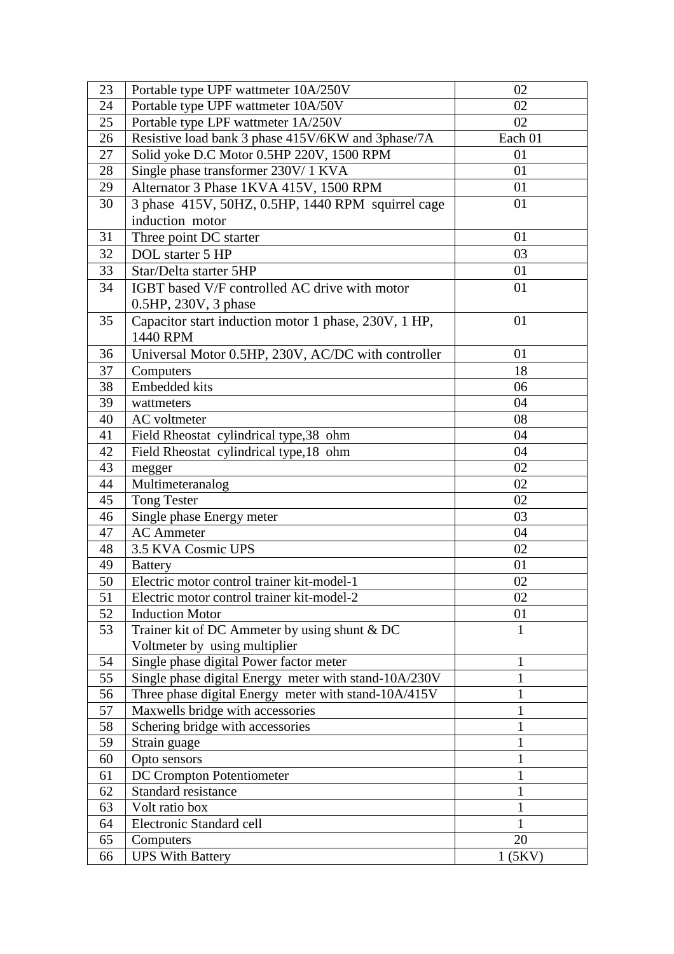| 23 | Portable type UPF wattmeter 10A/250V                             | 02      |
|----|------------------------------------------------------------------|---------|
| 24 | Portable type UPF wattmeter 10A/50V                              | 02      |
| 25 | Portable type LPF wattmeter 1A/250V                              | 02      |
| 26 | Resistive load bank 3 phase 415V/6KW and 3phase/7A               | Each 01 |
| 27 | Solid yoke D.C Motor 0.5HP 220V, 1500 RPM                        | 01      |
| 28 | Single phase transformer 230V/ 1 KVA                             | 01      |
| 29 | Alternator 3 Phase 1KVA 415V, 1500 RPM                           | 01      |
| 30 | 3 phase 415V, 50HZ, 0.5HP, 1440 RPM squirrel cage                | 01      |
|    | induction motor                                                  |         |
| 31 | Three point DC starter                                           | 01      |
| 32 | DOL starter 5 HP                                                 | 03      |
| 33 | Star/Delta starter 5HP                                           | 01      |
| 34 | IGBT based V/F controlled AC drive with motor                    | 01      |
|    |                                                                  |         |
| 35 | 0.5HP, 230V, 3 phase                                             | 01      |
|    | Capacitor start induction motor 1 phase, 230V, 1 HP,<br>1440 RPM |         |
|    |                                                                  |         |
| 36 | Universal Motor 0.5HP, 230V, AC/DC with controller               | 01      |
| 37 | Computers                                                        | 18      |
| 38 | <b>Embedded kits</b>                                             | 06      |
| 39 | wattmeters                                                       | 04      |
| 40 | AC voltmeter                                                     | 08      |
| 41 | Field Rheostat cylindrical type, 38 ohm                          | 04      |
| 42 | Field Rheostat cylindrical type, 18 ohm                          | 04      |
| 43 | megger                                                           | 02      |
| 44 | Multimeteranalog                                                 | 02      |
| 45 | <b>Tong Tester</b>                                               | 02      |
| 46 | Single phase Energy meter                                        | 03      |
| 47 | <b>AC</b> Ammeter                                                | 04      |
| 48 | 3.5 KVA Cosmic UPS                                               | 02      |
| 49 | <b>Battery</b>                                                   | 01      |
| 50 | Electric motor control trainer kit-model-1                       | 02      |
| 51 | Electric motor control trainer kit-model-2                       | 02      |
| 52 | <b>Induction Motor</b>                                           | 01      |
| 53 | Trainer kit of DC Ammeter by using shunt & DC                    | 1       |
|    | Voltmeter by using multiplier                                    |         |
| 54 | Single phase digital Power factor meter                          | 1       |
| 55 | Single phase digital Energy meter with stand-10A/230V            | 1       |
| 56 | Three phase digital Energy meter with stand-10A/415V             | 1       |
| 57 | Maxwells bridge with accessories                                 |         |
| 58 | Schering bridge with accessories                                 | 1       |
| 59 | Strain guage                                                     | 1       |
| 60 | Opto sensors                                                     | 1       |
| 61 | DC Crompton Potentiometer                                        |         |
| 62 | Standard resistance                                              |         |
| 63 | Volt ratio box                                                   | 1       |
| 64 | Electronic Standard cell                                         |         |
| 65 | Computers                                                        | 20      |
| 66 | <b>UPS With Battery</b>                                          | 1(5KV)  |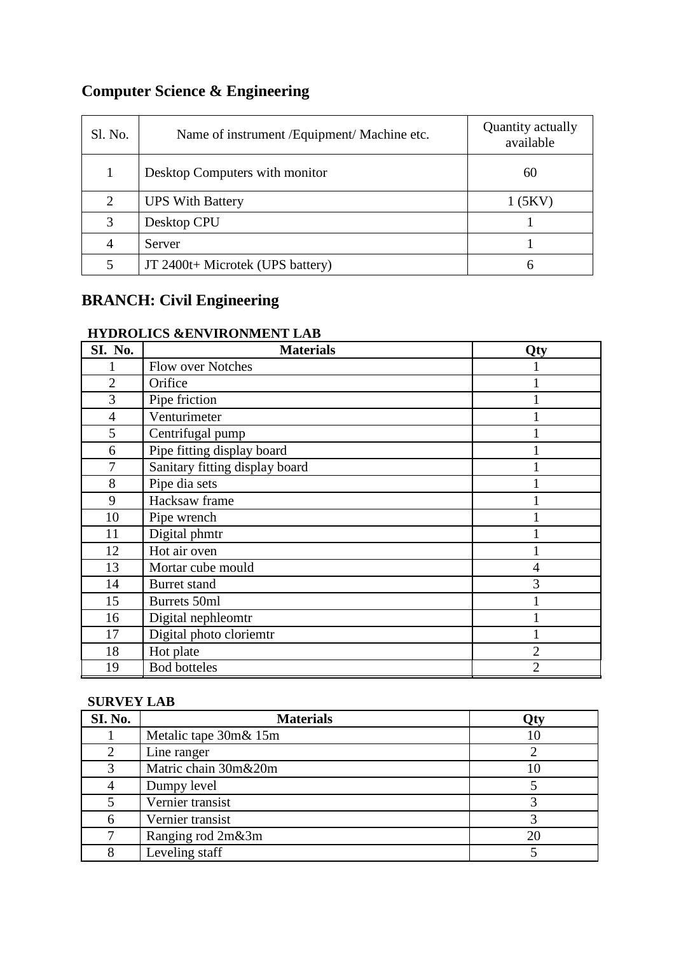# **Computer Science & Engineering**

| Sl. No. | Name of instrument / Equipment/ Machine etc. | Quantity actually<br>available |
|---------|----------------------------------------------|--------------------------------|
| 1       | Desktop Computers with monitor               | 60                             |
| 2       | <b>UPS With Battery</b>                      | 1(5KV)                         |
| 3       | Desktop CPU                                  |                                |
| 4       | Server                                       |                                |
| 5       | JT 2400t+ Microtek (UPS battery)             | 6                              |

# **BRANCH: Civil Engineering**

# **HYDROLICS &ENVIRONMENT LAB**

| SI. No.        | <b>Materials</b>               | Qty |
|----------------|--------------------------------|-----|
|                | <b>Flow over Notches</b>       |     |
| $\overline{2}$ | Orifice                        |     |
| 3              | Pipe friction                  |     |
| $\overline{4}$ | Venturimeter                   |     |
| 5              | Centrifugal pump               |     |
| 6              | Pipe fitting display board     |     |
| 7              | Sanitary fitting display board |     |
| 8              | Pipe dia sets                  |     |
| 9              | Hacksaw frame                  |     |
| 10             | Pipe wrench                    |     |
| 11             | Digital phmtr                  |     |
| 12             | Hot air oven                   |     |
| 13             | Mortar cube mould              | 4   |
| 14             | Burret stand                   | 3   |
| 15             | Burrets 50ml                   |     |
| 16             | Digital nephleomtr             |     |
| 17             | Digital photo cloriemtr        |     |
| 18             | Hot plate                      | 2   |
| 19             | <b>Bod botteles</b>            | 2   |

### **SURVEY LAB**

| SI. No. | <b>Materials</b>      | Oty |
|---------|-----------------------|-----|
|         | Metalic tape 30m& 15m |     |
|         | Line ranger           |     |
|         | Matric chain 30m&20m  |     |
|         | Dumpy level           |     |
|         | Vernier transist      |     |
|         | Vernier transist      |     |
|         | Ranging rod 2m&3m     |     |
|         | Leveling staff        |     |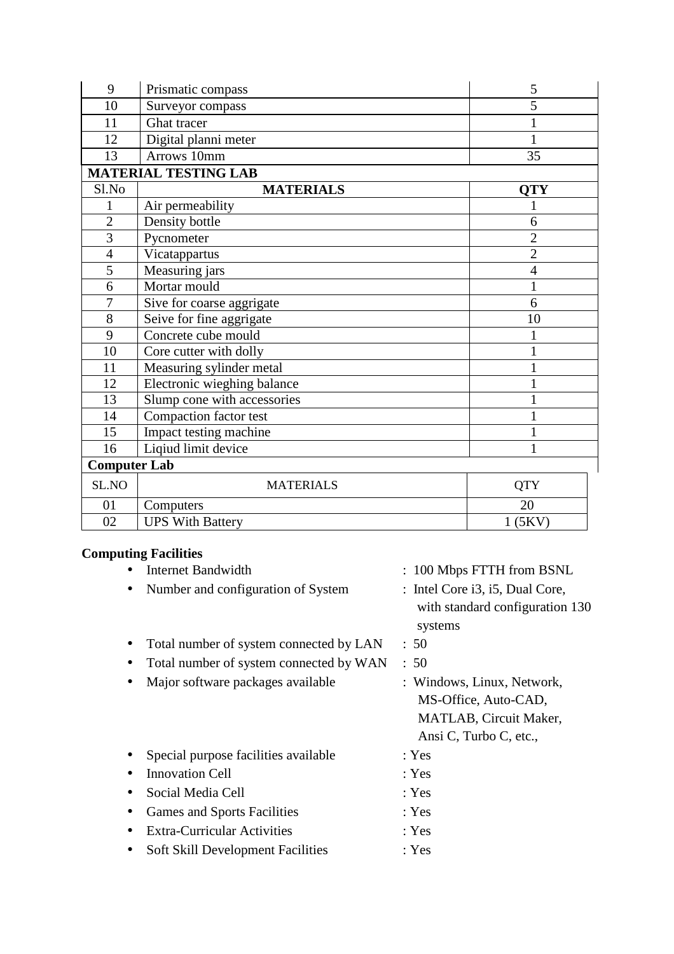| 9                           | Prismatic compass           | 5              |  |  |  |  |  |  |  |
|-----------------------------|-----------------------------|----------------|--|--|--|--|--|--|--|
| 10                          | Surveyor compass            | $\overline{5}$ |  |  |  |  |  |  |  |
| 11                          | Ghat tracer                 | 1              |  |  |  |  |  |  |  |
| 12                          | Digital planni meter        | $\mathbf{1}$   |  |  |  |  |  |  |  |
| 13                          | Arrows 10mm                 | 35             |  |  |  |  |  |  |  |
| <b>MATERIAL TESTING LAB</b> |                             |                |  |  |  |  |  |  |  |
| Sl.No                       | <b>MATERIALS</b>            | <b>QTY</b>     |  |  |  |  |  |  |  |
| $\mathbf{1}$                | Air permeability            |                |  |  |  |  |  |  |  |
| $\overline{2}$              | Density bottle              | 6              |  |  |  |  |  |  |  |
| $\overline{3}$              | Pycnometer                  | $\overline{2}$ |  |  |  |  |  |  |  |
| $\overline{4}$              | Vicatappartus               | $\overline{2}$ |  |  |  |  |  |  |  |
| 5                           | Measuring jars              | $\overline{4}$ |  |  |  |  |  |  |  |
| 6                           | Mortar mould                | $\mathbf{1}$   |  |  |  |  |  |  |  |
| $\overline{7}$              | Sive for coarse aggrigate   | 6              |  |  |  |  |  |  |  |
| 8                           | Seive for fine aggrigate    | 10             |  |  |  |  |  |  |  |
| 9                           | Concrete cube mould         |                |  |  |  |  |  |  |  |
| 10                          | Core cutter with dolly      |                |  |  |  |  |  |  |  |
| 11                          | Measuring sylinder metal    |                |  |  |  |  |  |  |  |
| 12                          | Electronic wieghing balance |                |  |  |  |  |  |  |  |
| 13                          | Slump cone with accessories |                |  |  |  |  |  |  |  |
| 14                          | Compaction factor test      | $\mathbf{1}$   |  |  |  |  |  |  |  |
| 15                          | Impact testing machine      |                |  |  |  |  |  |  |  |
| 16                          | Liqiud limit device         |                |  |  |  |  |  |  |  |
| <b>Computer Lab</b>         |                             |                |  |  |  |  |  |  |  |
| SL.NO                       | <b>MATERIALS</b>            | <b>QTY</b>     |  |  |  |  |  |  |  |
| 01                          | Computers                   | 20             |  |  |  |  |  |  |  |
| 02                          | <b>UPS With Battery</b>     | 1(5KV)         |  |  |  |  |  |  |  |

# **Computing Facilities**

| <b>Internet Bandwidth</b>                | : 100 Mbps FTTH from BSNL                                                                                     |
|------------------------------------------|---------------------------------------------------------------------------------------------------------------|
| Number and configuration of System       | : Intel Core i3, i5, Dual Core,<br>with standard configuration 130<br>systems                                 |
| Total number of system connected by LAN  | : 50                                                                                                          |
| Total number of system connected by WAN  | : 50                                                                                                          |
| Major software packages available        | : Windows, Linux, Network,<br>MS-Office, Auto-CAD,<br><b>MATLAB, Circuit Maker,</b><br>Ansi C, Turbo C, etc., |
| Special purpose facilities available     | : Yes                                                                                                         |
| <b>Innovation Cell</b>                   | : Yes                                                                                                         |
| Social Media Cell                        | : Yes                                                                                                         |
| <b>Games and Sports Facilities</b>       | : Yes                                                                                                         |
| <b>Extra-Curricular Activities</b>       | : Yes                                                                                                         |
| <b>Soft Skill Development Facilities</b> | : Yes                                                                                                         |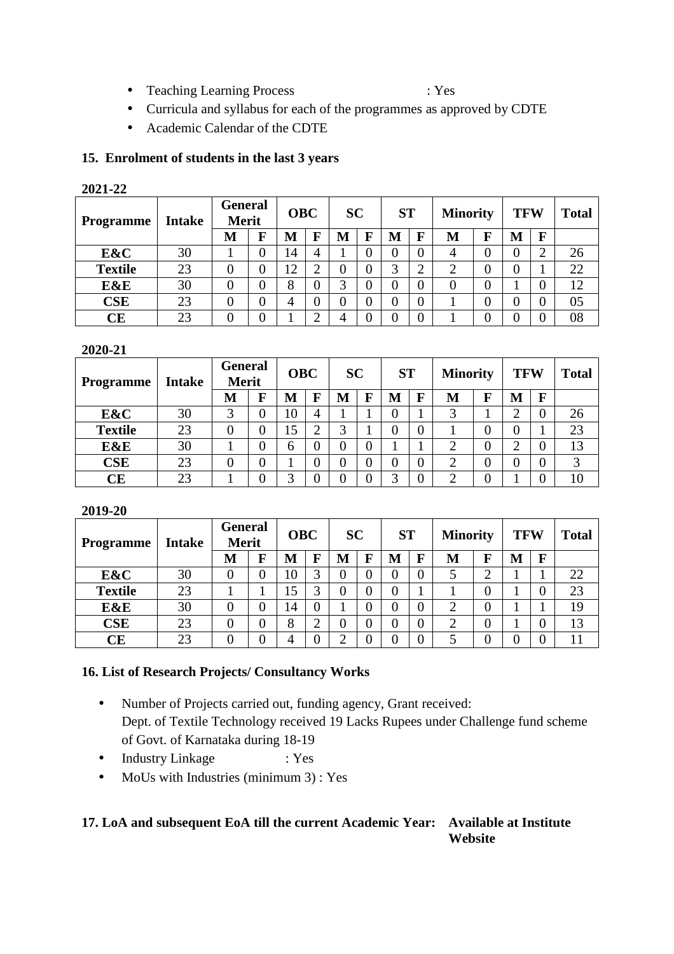• Teaching Learning Process : Yes

- Curricula and syllabus for each of the programmes as approved by CDTE
- Academic Calendar of the CDTE

### **15. Enrolment of students in the last 3 years**

#### **2021-22**

| <b>Programme</b> | <b>Intake</b> | <b>General</b><br><b>Merit</b> |   | <b>OBC</b> |                | <b>SC</b>      |   | <b>ST</b> |   | <b>Minority</b> |   | <b>TFW</b> |          | <b>Total</b> |
|------------------|---------------|--------------------------------|---|------------|----------------|----------------|---|-----------|---|-----------------|---|------------|----------|--------------|
|                  |               | М                              | F | M          | $\mathbf{F}$   | M              | F | М         | F | M               | F | M          | F        |              |
| E&C              | 30            |                                | 0 | 14         | 4              |                |   |           |   |                 |   |            | ◠        | 26           |
| <b>Textile</b>   | 23            |                                | 0 | ി          |                | 0              | J | 3         |   | ി               |   | 0          |          | 22           |
| E&E              | 30            |                                | 0 | 8          | 0              | 2              |   |           |   |                 |   |            | $\left($ | 12           |
| <b>CSE</b>       | 23            |                                | 0 | 4          | $\overline{0}$ | $\overline{0}$ |   |           |   |                 |   |            | O        | 05           |
| СE               | 23            |                                |   |            | ◠              | 4              |   |           |   |                 |   |            | U        | 08           |

#### **2020-21**

| <b>Programme</b> | <b>Intake</b> | <b>General</b><br><b>Merit</b> |   | <b>OBC</b> |             | <b>SC</b>      |   | <b>ST</b> |   | <b>Minority</b> |   | <b>TFW</b> |          | <b>Total</b> |
|------------------|---------------|--------------------------------|---|------------|-------------|----------------|---|-----------|---|-----------------|---|------------|----------|--------------|
|                  |               | M                              | F | M          | $\mathbf F$ | M              | F | M         | F | M               | F | M          | F        |              |
| E&C              | 30            | 3                              | 0 | 10         | 4           |                |   |           |   | 3               |   |            | $\cup$   | 26           |
| <b>Textile</b>   | 23            |                                |   |            | ◠           | 2              |   |           |   |                 |   | 0          |          | 23           |
| E&E              | 30            |                                | 0 | 6          | 0           | $\overline{0}$ |   |           |   | ⌒               |   |            | $\left($ | 13           |
| CSE              | 23            | 0                              |   |            | 0           | 0              |   |           |   | ◠               |   |            | $\left($ |              |
| CЕ               | 23            |                                |   |            |             | 0              |   |           |   | ∍               |   |            |          | 10           |

#### **2019-20**

| Programme      | <b>Intake</b> | General<br><b>Merit</b> |   | <b>OBC</b> |                | <b>SC</b> |   | <b>ST</b> |   | <b>Minority</b> |   | <b>TFW</b> |   | <b>Total</b> |
|----------------|---------------|-------------------------|---|------------|----------------|-----------|---|-----------|---|-----------------|---|------------|---|--------------|
|                |               | М                       | F | M          | F              | M         | F | М         | F | M               | F | M          | F |              |
| E&C            | 30            | 0                       | 0 | 10         | 3              | 0         |   |           |   |                 | ◠ |            |   | 22           |
| <b>Textile</b> | 23            |                         |   | 5          |                | 0         |   |           |   |                 |   |            |   | 23           |
| E&E            | 30            |                         |   | 14         | $\overline{0}$ |           |   |           | 0 | ⌒               |   |            |   | 19           |
| <b>CSE</b>     | 23            |                         | 0 | 8          | ◠<br>↩         | 0         |   |           |   | ◠               |   |            |   | 13           |
| СE             | 23            |                         | 0 | 4          | $\overline{0}$ | ⌒         |   |           |   |                 |   |            |   |              |

### **16. List of Research Projects/ Consultancy Works**

- Number of Projects carried out, funding agency, Grant received: Dept. of Textile Technology received 19 Lacks Rupees under Challenge fund scheme of Govt. of Karnataka during 18-19
- Industry Linkage : Yes
- MoUs with Industries (minimum 3) : Yes

#### **17. LoA and subsequent EoA till the current Academic Year: Available at Institute Website**